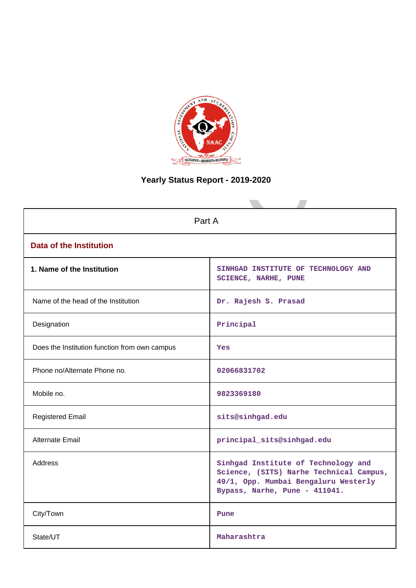

# **Yearly Status Report - 2019-2020**

| Part A                                        |                                                                                                                                                         |  |  |  |  |
|-----------------------------------------------|---------------------------------------------------------------------------------------------------------------------------------------------------------|--|--|--|--|
| <b>Data of the Institution</b>                |                                                                                                                                                         |  |  |  |  |
| 1. Name of the Institution                    | SINHGAD INSTITUTE OF TECHNOLOGY AND<br><b>SCIENCE, NARHE, PUNE</b>                                                                                      |  |  |  |  |
| Name of the head of the Institution           | Dr. Rajesh S. Prasad                                                                                                                                    |  |  |  |  |
| Designation                                   | Principal                                                                                                                                               |  |  |  |  |
| Does the Institution function from own campus | Yes                                                                                                                                                     |  |  |  |  |
| Phone no/Alternate Phone no.                  | 02066831702                                                                                                                                             |  |  |  |  |
| Mobile no.                                    | 9823369180                                                                                                                                              |  |  |  |  |
| <b>Registered Email</b>                       | sits@sinhgad.edu                                                                                                                                        |  |  |  |  |
| Alternate Email                               | principal_sits@sinhgad.edu                                                                                                                              |  |  |  |  |
| <b>Address</b>                                | Sinhgad Institute of Technology and<br>Science, (SITS) Narhe Technical Campus,<br>49/1, Opp. Mumbai Bengaluru Westerly<br>Bypass, Narhe, Pune - 411041. |  |  |  |  |
| City/Town                                     | Pune                                                                                                                                                    |  |  |  |  |
| State/UT                                      | Maharashtra                                                                                                                                             |  |  |  |  |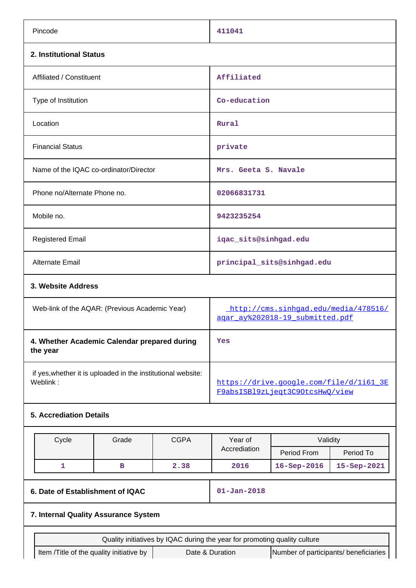| Pincode                                                                  |                                      |             | 411041                                                                     |                         |             |  |  |  |
|--------------------------------------------------------------------------|--------------------------------------|-------------|----------------------------------------------------------------------------|-------------------------|-------------|--|--|--|
| 2. Institutional Status                                                  |                                      |             |                                                                            |                         |             |  |  |  |
| Affiliated / Constituent                                                 |                                      |             | Affiliated                                                                 |                         |             |  |  |  |
| Type of Institution                                                      |                                      |             | Co-education                                                               |                         |             |  |  |  |
| Location                                                                 |                                      |             | Rural                                                                      |                         |             |  |  |  |
| <b>Financial Status</b>                                                  |                                      |             | private                                                                    |                         |             |  |  |  |
| Name of the IQAC co-ordinator/Director                                   |                                      |             | Mrs. Geeta S. Navale                                                       |                         |             |  |  |  |
| Phone no/Alternate Phone no.                                             |                                      |             | 02066831731                                                                |                         |             |  |  |  |
| Mobile no.                                                               |                                      |             | 9423235254                                                                 |                         |             |  |  |  |
| <b>Registered Email</b>                                                  |                                      |             | iqac_sits@sinhgad.edu                                                      |                         |             |  |  |  |
| Alternate Email                                                          |                                      |             | principal_sits@sinhgad.edu                                                 |                         |             |  |  |  |
| 3. Website Address                                                       |                                      |             |                                                                            |                         |             |  |  |  |
| Web-link of the AQAR: (Previous Academic Year)                           |                                      |             | http://cms.sinhqad.edu/media/478516/<br>agar_ay%202018-19_submitted.pdf    |                         |             |  |  |  |
| 4. Whether Academic Calendar prepared during<br>the year                 |                                      |             | Yes                                                                        |                         |             |  |  |  |
| if yes, whether it is uploaded in the institutional website:<br>Weblink: |                                      |             | https://drive.google.com/file/d/1i61 3E<br>F9absISB19zLjeqt3C9OtcsHwQ/view |                         |             |  |  |  |
| <b>5. Accrediation Details</b>                                           |                                      |             |                                                                            |                         |             |  |  |  |
| Cycle                                                                    | Grade                                | <b>CGPA</b> | Year of<br>Accrediation                                                    | Validity<br>Period From | Period To   |  |  |  |
| $\mathbf{1}$                                                             | в                                    | 2.38        | 2016                                                                       | 16-Sep-2016             | 15-Sep-2021 |  |  |  |
| 6. Date of Establishment of IQAC                                         |                                      |             | $01 - Jan - 2018$                                                          |                         |             |  |  |  |
|                                                                          | 7. Internal Quality Assurance System |             |                                                                            |                         |             |  |  |  |
|                                                                          |                                      |             | Quality initiatives by IQAC during the year for promoting quality culture  |                         |             |  |  |  |
| Item /Title of the quality initiative by                                 |                                      |             | Date & Duration<br>Number of participants/ beneficiaries                   |                         |             |  |  |  |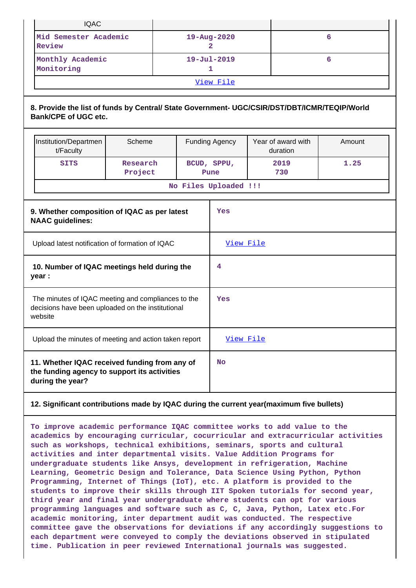|                                                                                                                   | <b>IQAC</b>                                                                                                                 |                     |  |                  |                        |   |                                |        |
|-------------------------------------------------------------------------------------------------------------------|-----------------------------------------------------------------------------------------------------------------------------|---------------------|--|------------------|------------------------|---|--------------------------------|--------|
|                                                                                                                   | Mid Semester Academic<br>Review                                                                                             |                     |  | 19-Aug-2020<br>2 |                        | 6 |                                |        |
|                                                                                                                   | Monthly Academic<br>Monitoring                                                                                              |                     |  |                  | $19 - Jul - 2019$<br>1 |   |                                | 6      |
|                                                                                                                   |                                                                                                                             |                     |  |                  | View File              |   |                                |        |
|                                                                                                                   | 8. Provide the list of funds by Central/ State Government- UGC/CSIR/DST/DBT/ICMR/TEQIP/World<br><b>Bank/CPE of UGC etc.</b> |                     |  |                  |                        |   |                                |        |
|                                                                                                                   | Institution/Departmen<br>t/Faculty                                                                                          | Scheme              |  |                  | <b>Funding Agency</b>  |   | Year of award with<br>duration | Amount |
|                                                                                                                   | <b>SITS</b>                                                                                                                 | Research<br>Project |  |                  | BCUD, SPPU,<br>Pune    |   | 2019<br>730                    | 1.25   |
|                                                                                                                   |                                                                                                                             |                     |  |                  | No Files Uploaded !!!  |   |                                |        |
| 9. Whether composition of IQAC as per latest<br><b>NAAC</b> guidelines:                                           |                                                                                                                             |                     |  |                  | Yes                    |   |                                |        |
|                                                                                                                   | Upload latest notification of formation of IQAC                                                                             |                     |  |                  | View File              |   |                                |        |
|                                                                                                                   | 10. Number of IQAC meetings held during the<br>year :                                                                       |                     |  |                  | 4                      |   |                                |        |
|                                                                                                                   | The minutes of IQAC meeting and compliances to the<br>decisions have been uploaded on the institutional<br>website          |                     |  | Yes              |                        |   |                                |        |
| Upload the minutes of meeting and action taken report                                                             |                                                                                                                             |                     |  | View File        |                        |   |                                |        |
| 11. Whether IQAC received funding from any of<br>the funding agency to support its activities<br>during the year? |                                                                                                                             |                     |  | <b>No</b>        |                        |   |                                |        |

#### **12. Significant contributions made by IQAC during the current year(maximum five bullets)**

**To improve academic performance IQAC committee works to add value to the academics by encouraging curricular, cocurricular and extracurricular activities such as workshops, technical exhibitions, seminars, sports and cultural activities and inter departmental visits. Value Addition Programs for undergraduate students like Ansys, development in refrigeration, Machine Learning, Geometric Design and Tolerance, Data Science Using Python, Python Programming, Internet of Things (IoT), etc. A platform is provided to the students to improve their skills through IIT Spoken tutorials for second year, third year and final year undergraduate where students can opt for various programming languages and software such as C, C, Java, Python, Latex etc.For academic monitoring, inter department audit was conducted. The respective committee gave the observations for deviations if any accordingly suggestions to each department were conveyed to comply the deviations observed in stipulated time. Publication in peer reviewed International journals was suggested.**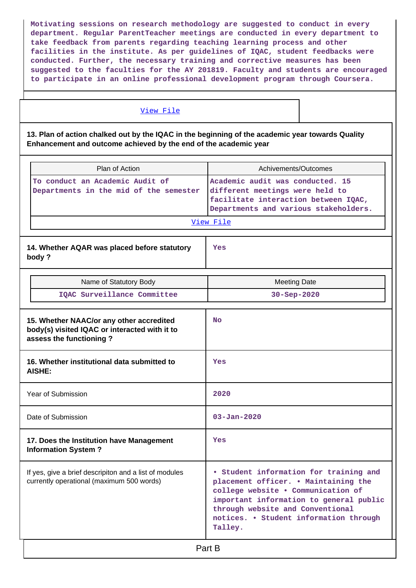**Motivating sessions on research methodology are suggested to conduct in every department. Regular ParentTeacher meetings are conducted in every department to take feedback from parents regarding teaching learning process and other facilities in the institute. As per guidelines of IQAC, student feedbacks were conducted. Further, the necessary training and corrective measures has been suggested to the faculties for the AY 201819. Faculty and students are encouraged to participate in an online professional development program through Coursera.**

#### [View File](https://assessmentonline.naac.gov.in/public/Postacc/Contribution/7630_Contribution.xlsx)

**13. Plan of action chalked out by the IQAC in the beginning of the academic year towards Quality Enhancement and outcome achieved by the end of the academic year**

| Plan of Action                                                                                                       | Achivements/Outcomes                                                                                                                                                                                                                                     |
|----------------------------------------------------------------------------------------------------------------------|----------------------------------------------------------------------------------------------------------------------------------------------------------------------------------------------------------------------------------------------------------|
| To conduct an Academic Audit of<br>Departments in the mid of the semester                                            | Academic audit was conducted. 15<br>different meetings were held to<br>facilitate interaction between IQAC,<br>Departments and various stakeholders.<br>View File                                                                                        |
| 14. Whether AQAR was placed before statutory<br>body?                                                                | Yes                                                                                                                                                                                                                                                      |
| Name of Statutory Body                                                                                               | <b>Meeting Date</b>                                                                                                                                                                                                                                      |
| IQAC Surveillance Committee                                                                                          | 30-Sep-2020                                                                                                                                                                                                                                              |
| 15. Whether NAAC/or any other accredited<br>body(s) visited IQAC or interacted with it to<br>assess the functioning? | No                                                                                                                                                                                                                                                       |
| 16. Whether institutional data submitted to<br><b>AISHE:</b>                                                         | Yes                                                                                                                                                                                                                                                      |
| Year of Submission                                                                                                   | 2020                                                                                                                                                                                                                                                     |
| Date of Submission                                                                                                   | $03 - Jan - 2020$                                                                                                                                                                                                                                        |
| 17. Does the Institution have Management<br><b>Information System?</b>                                               | Yes                                                                                                                                                                                                                                                      |
| If yes, give a brief descripiton and a list of modules<br>currently operational (maximum 500 words)                  | • Student information for training and<br>placement officer. . Maintaining the<br>college website . Communication of<br>important information to general public<br>through website and Conventional<br>notices. • Student information through<br>Talley. |
|                                                                                                                      | Part B                                                                                                                                                                                                                                                   |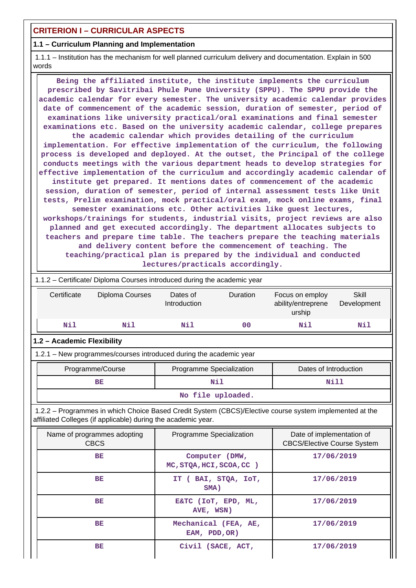## **CRITERION I – CURRICULAR ASPECTS**

#### **1.1 – Curriculum Planning and Implementation**

 1.1.1 – Institution has the mechanism for well planned curriculum delivery and documentation. Explain in 500 words

 **Being the affiliated institute, the institute implements the curriculum prescribed by Savitribai Phule Pune University (SPPU). The SPPU provide the academic calendar for every semester. The university academic calendar provides date of commencement of the academic session, duration of semester, period of examinations like university practical/oral examinations and final semester examinations etc. Based on the university academic calendar, college prepares the academic calendar which provides detailing of the curriculum implementation. For effective implementation of the curriculum, the following process is developed and deployed. At the outset, the Principal of the college conducts meetings with the various department heads to develop strategies for effective implementation of the curriculum and accordingly academic calendar of institute get prepared. It mentions dates of commencement of the academic session, duration of semester, period of internal assessment tests like Unit tests, Prelim examination, mock practical/oral exam, mock online exams, final semester examinations etc. Other activities like guest lectures, workshops/trainings for students, industrial visits, project reviews are also planned and get executed accordingly. The department allocates subjects to teachers and prepare time table. The teachers prepare the teaching materials and delivery content before the commencement of teaching. The teaching/practical plan is prepared by the individual and conducted lectures/practicals accordingly.**

| 1.1.2 – Certificate/ Diploma Courses introduced during the academic year |                                                                                                       |                          |          |                       |                      |  |  |  |  |  |
|--------------------------------------------------------------------------|-------------------------------------------------------------------------------------------------------|--------------------------|----------|-----------------------|----------------------|--|--|--|--|--|
| Certificate                                                              | Diploma Courses                                                                                       | Dates of<br>Introduction | Duration |                       | Skill<br>Development |  |  |  |  |  |
|                                                                          | Nil<br>Nil                                                                                            | Nil                      | 00       | Nil                   | Nil                  |  |  |  |  |  |
|                                                                          | 1.2 - Academic Flexibility                                                                            |                          |          |                       |                      |  |  |  |  |  |
|                                                                          | 1.2.1 – New programmes/courses introduced during the academic year                                    |                          |          |                       |                      |  |  |  |  |  |
|                                                                          | Programme/Course                                                                                      | Programme Specialization |          | Dates of Introduction |                      |  |  |  |  |  |
|                                                                          | BЕ                                                                                                    | Nil                      |          | Nill                  |                      |  |  |  |  |  |
|                                                                          | No file uploaded.                                                                                     |                          |          |                       |                      |  |  |  |  |  |
| 100                                                                      | Dreargammes in which Choice Board Cradit Custom (CBCC) (Floative course overcoming implemented at the |                          |          |                       |                      |  |  |  |  |  |

 1.2.2 – Programmes in which Choice Based Credit System (CBCS)/Elective course system implemented at the affiliated Colleges (if applicable) during the academic year.

| Name of programmes adopting<br><b>CBCS</b> | Programme Specialization                   | Date of implementation of<br><b>CBCS/Elective Course System</b> |
|--------------------------------------------|--------------------------------------------|-----------------------------------------------------------------|
| BE                                         | Computer (DMW,<br>MC, STOA, HCI, SCOA, CC) | 17/06/2019                                                      |
| BE                                         | BAI, STQA, IOT,<br>IT (<br>SMA)            | 17/06/2019                                                      |
| BE                                         | E&TC (IOT, EPD, ML,<br>AVE, WSN)           | 17/06/2019                                                      |
| BE                                         | Mechanical (FEA, AE,<br>EAM, PDD, OR)      | 17/06/2019                                                      |
| ВE                                         | Civil (SACE, ACT,                          | 17/06/2019                                                      |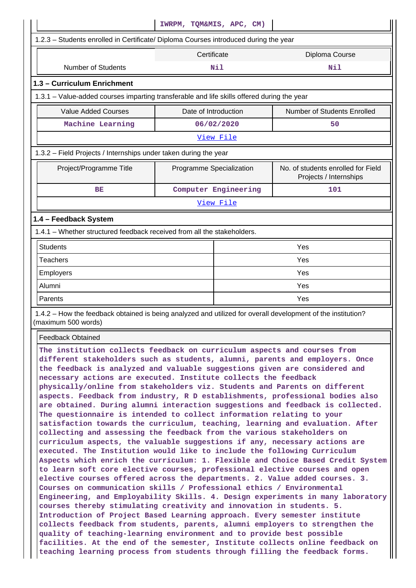|                                                                                                                                                                                                                                                                                                                                                                                                                                                                                                                                                                                                                                                                                                                                                                                                                                                                                                                                                                                                                                                                                                                                                                                                                                                                                                                                                                                                                                                                                                                                                                                                                                                                                                                                                                       | IWRPM, TOM&MIS, APC, CM) |                      |                                                              |  |  |  |
|-----------------------------------------------------------------------------------------------------------------------------------------------------------------------------------------------------------------------------------------------------------------------------------------------------------------------------------------------------------------------------------------------------------------------------------------------------------------------------------------------------------------------------------------------------------------------------------------------------------------------------------------------------------------------------------------------------------------------------------------------------------------------------------------------------------------------------------------------------------------------------------------------------------------------------------------------------------------------------------------------------------------------------------------------------------------------------------------------------------------------------------------------------------------------------------------------------------------------------------------------------------------------------------------------------------------------------------------------------------------------------------------------------------------------------------------------------------------------------------------------------------------------------------------------------------------------------------------------------------------------------------------------------------------------------------------------------------------------------------------------------------------------|--------------------------|----------------------|--------------------------------------------------------------|--|--|--|
| 1.2.3 - Students enrolled in Certificate/ Diploma Courses introduced during the year                                                                                                                                                                                                                                                                                                                                                                                                                                                                                                                                                                                                                                                                                                                                                                                                                                                                                                                                                                                                                                                                                                                                                                                                                                                                                                                                                                                                                                                                                                                                                                                                                                                                                  |                          |                      |                                                              |  |  |  |
|                                                                                                                                                                                                                                                                                                                                                                                                                                                                                                                                                                                                                                                                                                                                                                                                                                                                                                                                                                                                                                                                                                                                                                                                                                                                                                                                                                                                                                                                                                                                                                                                                                                                                                                                                                       | Certificate              | Diploma Course       |                                                              |  |  |  |
| <b>Number of Students</b>                                                                                                                                                                                                                                                                                                                                                                                                                                                                                                                                                                                                                                                                                                                                                                                                                                                                                                                                                                                                                                                                                                                                                                                                                                                                                                                                                                                                                                                                                                                                                                                                                                                                                                                                             |                          | Nil                  | Nil                                                          |  |  |  |
| 1.3 - Curriculum Enrichment                                                                                                                                                                                                                                                                                                                                                                                                                                                                                                                                                                                                                                                                                                                                                                                                                                                                                                                                                                                                                                                                                                                                                                                                                                                                                                                                                                                                                                                                                                                                                                                                                                                                                                                                           |                          |                      |                                                              |  |  |  |
| 1.3.1 – Value-added courses imparting transferable and life skills offered during the year                                                                                                                                                                                                                                                                                                                                                                                                                                                                                                                                                                                                                                                                                                                                                                                                                                                                                                                                                                                                                                                                                                                                                                                                                                                                                                                                                                                                                                                                                                                                                                                                                                                                            |                          |                      |                                                              |  |  |  |
| <b>Value Added Courses</b>                                                                                                                                                                                                                                                                                                                                                                                                                                                                                                                                                                                                                                                                                                                                                                                                                                                                                                                                                                                                                                                                                                                                                                                                                                                                                                                                                                                                                                                                                                                                                                                                                                                                                                                                            | Date of Introduction     |                      | Number of Students Enrolled                                  |  |  |  |
| Machine Learning                                                                                                                                                                                                                                                                                                                                                                                                                                                                                                                                                                                                                                                                                                                                                                                                                                                                                                                                                                                                                                                                                                                                                                                                                                                                                                                                                                                                                                                                                                                                                                                                                                                                                                                                                      |                          | 06/02/2020           | 50                                                           |  |  |  |
|                                                                                                                                                                                                                                                                                                                                                                                                                                                                                                                                                                                                                                                                                                                                                                                                                                                                                                                                                                                                                                                                                                                                                                                                                                                                                                                                                                                                                                                                                                                                                                                                                                                                                                                                                                       |                          | View File            |                                                              |  |  |  |
| 1.3.2 - Field Projects / Internships under taken during the year                                                                                                                                                                                                                                                                                                                                                                                                                                                                                                                                                                                                                                                                                                                                                                                                                                                                                                                                                                                                                                                                                                                                                                                                                                                                                                                                                                                                                                                                                                                                                                                                                                                                                                      |                          |                      |                                                              |  |  |  |
| Project/Programme Title                                                                                                                                                                                                                                                                                                                                                                                                                                                                                                                                                                                                                                                                                                                                                                                                                                                                                                                                                                                                                                                                                                                                                                                                                                                                                                                                                                                                                                                                                                                                                                                                                                                                                                                                               | Programme Specialization |                      | No. of students enrolled for Field<br>Projects / Internships |  |  |  |
| BE                                                                                                                                                                                                                                                                                                                                                                                                                                                                                                                                                                                                                                                                                                                                                                                                                                                                                                                                                                                                                                                                                                                                                                                                                                                                                                                                                                                                                                                                                                                                                                                                                                                                                                                                                                    |                          | Computer Engineering | 101                                                          |  |  |  |
|                                                                                                                                                                                                                                                                                                                                                                                                                                                                                                                                                                                                                                                                                                                                                                                                                                                                                                                                                                                                                                                                                                                                                                                                                                                                                                                                                                                                                                                                                                                                                                                                                                                                                                                                                                       |                          | View File            |                                                              |  |  |  |
| 1.4 - Feedback System                                                                                                                                                                                                                                                                                                                                                                                                                                                                                                                                                                                                                                                                                                                                                                                                                                                                                                                                                                                                                                                                                                                                                                                                                                                                                                                                                                                                                                                                                                                                                                                                                                                                                                                                                 |                          |                      |                                                              |  |  |  |
| 1.4.1 - Whether structured feedback received from all the stakeholders.                                                                                                                                                                                                                                                                                                                                                                                                                                                                                                                                                                                                                                                                                                                                                                                                                                                                                                                                                                                                                                                                                                                                                                                                                                                                                                                                                                                                                                                                                                                                                                                                                                                                                               |                          |                      |                                                              |  |  |  |
| <b>Students</b>                                                                                                                                                                                                                                                                                                                                                                                                                                                                                                                                                                                                                                                                                                                                                                                                                                                                                                                                                                                                                                                                                                                                                                                                                                                                                                                                                                                                                                                                                                                                                                                                                                                                                                                                                       |                          |                      | Yes                                                          |  |  |  |
| <b>Teachers</b>                                                                                                                                                                                                                                                                                                                                                                                                                                                                                                                                                                                                                                                                                                                                                                                                                                                                                                                                                                                                                                                                                                                                                                                                                                                                                                                                                                                                                                                                                                                                                                                                                                                                                                                                                       |                          |                      | Yes                                                          |  |  |  |
| Employers                                                                                                                                                                                                                                                                                                                                                                                                                                                                                                                                                                                                                                                                                                                                                                                                                                                                                                                                                                                                                                                                                                                                                                                                                                                                                                                                                                                                                                                                                                                                                                                                                                                                                                                                                             |                          | Yes                  |                                                              |  |  |  |
| Alumni                                                                                                                                                                                                                                                                                                                                                                                                                                                                                                                                                                                                                                                                                                                                                                                                                                                                                                                                                                                                                                                                                                                                                                                                                                                                                                                                                                                                                                                                                                                                                                                                                                                                                                                                                                |                          | Yes                  |                                                              |  |  |  |
| Parents                                                                                                                                                                                                                                                                                                                                                                                                                                                                                                                                                                                                                                                                                                                                                                                                                                                                                                                                                                                                                                                                                                                                                                                                                                                                                                                                                                                                                                                                                                                                                                                                                                                                                                                                                               |                          | Yes                  |                                                              |  |  |  |
| 1.4.2 - How the feedback obtained is being analyzed and utilized for overall development of the institution?<br>(maximum 500 words)                                                                                                                                                                                                                                                                                                                                                                                                                                                                                                                                                                                                                                                                                                                                                                                                                                                                                                                                                                                                                                                                                                                                                                                                                                                                                                                                                                                                                                                                                                                                                                                                                                   |                          |                      |                                                              |  |  |  |
| <b>Feedback Obtained</b>                                                                                                                                                                                                                                                                                                                                                                                                                                                                                                                                                                                                                                                                                                                                                                                                                                                                                                                                                                                                                                                                                                                                                                                                                                                                                                                                                                                                                                                                                                                                                                                                                                                                                                                                              |                          |                      |                                                              |  |  |  |
| The institution collects feedback on curriculum aspects and courses from<br>different stakeholders such as students, alumni, parents and employers. Once<br>the feedback is analyzed and valuable suggestions given are considered and<br>necessary actions are executed. Institute collects the feedback<br>physically/online from stakeholders viz. Students and Parents on different<br>aspects. Feedback from industry, R D establishments, professional bodies also<br>are obtained. During alumni interaction suggestions and feedback is collected.<br>The questionnaire is intended to collect information relating to your<br>satisfaction towards the curriculum, teaching, learning and evaluation. After<br>collecting and assessing the feedback from the various stakeholders on<br>curriculum aspects, the valuable suggestions if any, necessary actions are<br>executed. The Institution would like to include the following Curriculum<br>Aspects which enrich the curriculum: 1. Flexible and Choice Based Credit System<br>to learn soft core elective courses, professional elective courses and open<br>elective courses offered across the departments. 2. Value added courses. 3.<br>Courses on communication skills / Professional ethics / Environmental<br>Engineering, and Employability Skills. 4. Design experiments in many laboratory<br>courses thereby stimulating creativity and innovation in students. 5.<br>Introduction of Project Based Learning approach. Every semester institute<br>collects feedback from students, parents, alumni employers to strengthen the<br>quality of teaching-learning environment and to provide best possible<br>facilities. At the end of the semester, Institute collects online feedback on |                          |                      |                                                              |  |  |  |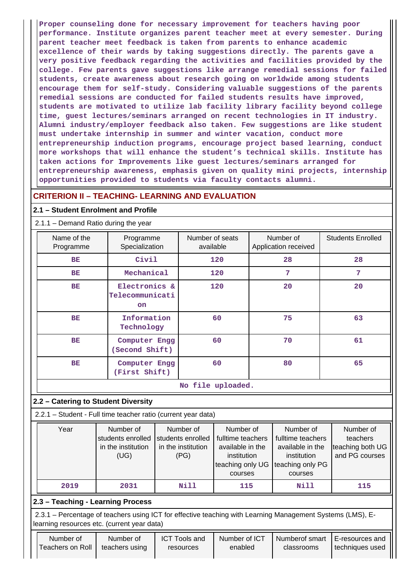**Proper counseling done for necessary improvement for teachers having poor performance. Institute organizes parent teacher meet at every semester. During parent teacher meet feedback is taken from parents to enhance academic excellence of their wards by taking suggestions directly. The parents gave a very positive feedback regarding the activities and facilities provided by the college. Few parents gave suggestions like arrange remedial sessions for failed students, create awareness about research going on worldwide among students encourage them for self-study. Considering valuable suggestions of the parents remedial sessions are conducted for failed students results have improved, students are motivated to utilize lab facility library facility beyond college time, guest lectures/seminars arranged on recent technologies in IT industry. Alumni industry/employer feedback also taken. Few suggestions are like student must undertake internship in summer and winter vacation, conduct more entrepreneurship induction programs, encourage project based learning, conduct more workshops that will enhance the student's technical skills. Institute has taken actions for Improvements like guest lectures/seminars arranged for entrepreneurship awareness, emphasis given on quality mini projects, internship opportunities provided to students via faculty contacts alumni.**

## **CRITERION II – TEACHING- LEARNING AND EVALUATION**

#### **2.1 – Student Enrolment and Profile**

#### 2.1.1 – Demand Ratio during the year

| Name of the<br>Programme | Programme<br>Specialization                   | Number of seats<br>available | Number of<br>Application received | <b>Students Enrolled</b> |
|--------------------------|-----------------------------------------------|------------------------------|-----------------------------------|--------------------------|
| BE                       | Civil                                         | 120                          | 28                                | 28                       |
| <b>BE</b>                | Mechanical                                    | 120                          | 7                                 | 7                        |
| <b>BE</b>                | Electronics &<br>Telecommunicati<br><b>on</b> | 120                          | 20                                | 20                       |
| <b>BE</b>                | Information<br>Technology                     | 60                           | 75                                | 63                       |
| <b>BE</b>                | Computer Engg<br>(Second Shift)               | 60                           | 70                                | 61                       |
| <b>BE</b>                | Computer Engg<br>(First Shift)                | 60                           | 80                                | 65                       |
|                          |                                               | No file uploaded.            |                                   |                          |

#### **2.2 – Catering to Student Diversity**

2.2.1 – Student - Full time teacher ratio (current year data)

| Year | Number of                           | Number of          | Number of                          | Number of         | Number of        |
|------|-------------------------------------|--------------------|------------------------------------|-------------------|------------------|
|      | students enrolled students enrolled |                    | fulltime teachers                  | fulltime teachers | teachers         |
|      | in the institution                  | in the institution | available in the                   | available in the  | teaching both UG |
|      | (UG)                                | (PG)               | institution                        | institution       | and PG courses   |
|      |                                     |                    | teaching only UG Iteaching only PG |                   |                  |
|      |                                     |                    | courses                            | courses           |                  |
| 2019 | 2031                                | Nill               | 115                                | Nill              | 115              |

## **2.3 – Teaching - Learning Process**

 2.3.1 – Percentage of teachers using ICT for effective teaching with Learning Management Systems (LMS), Elearning resources etc. (current year data)

| Number of        |
|------------------|
| Teachers on Roll |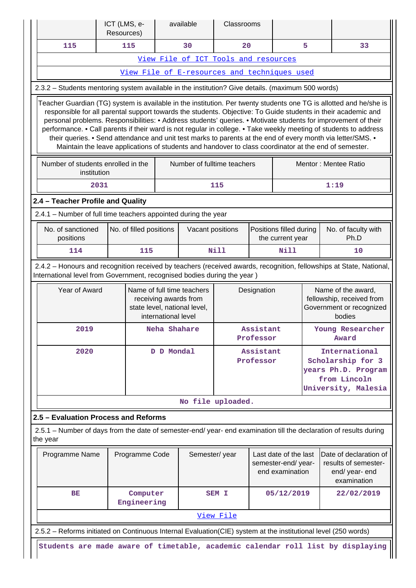|                                      |                                                                                                                                                                                                                                                                                                                                                                                                                                                                                                                                                                                                                                                                                                    | ICT (LMS, e-<br>Resources) |                         |                     | available                                                                                         | Classrooms             |                        |                                                                |                                                                                       |                                                                                                                    |  |  |  |  |  |  |  |
|--------------------------------------|----------------------------------------------------------------------------------------------------------------------------------------------------------------------------------------------------------------------------------------------------------------------------------------------------------------------------------------------------------------------------------------------------------------------------------------------------------------------------------------------------------------------------------------------------------------------------------------------------------------------------------------------------------------------------------------------------|----------------------------|-------------------------|---------------------|---------------------------------------------------------------------------------------------------|------------------------|------------------------|----------------------------------------------------------------|---------------------------------------------------------------------------------------|--------------------------------------------------------------------------------------------------------------------|--|--|--|--|--|--|--|
|                                      | 115                                                                                                                                                                                                                                                                                                                                                                                                                                                                                                                                                                                                                                                                                                |                            | 115                     |                     | 30                                                                                                | 20                     |                        |                                                                | 5                                                                                     | 33                                                                                                                 |  |  |  |  |  |  |  |
|                                      |                                                                                                                                                                                                                                                                                                                                                                                                                                                                                                                                                                                                                                                                                                    |                            |                         |                     | View File of ICT Tools and resources                                                              |                        |                        |                                                                |                                                                                       |                                                                                                                    |  |  |  |  |  |  |  |
|                                      |                                                                                                                                                                                                                                                                                                                                                                                                                                                                                                                                                                                                                                                                                                    |                            |                         |                     | View File of E-resources and techniques used                                                      |                        |                        |                                                                |                                                                                       |                                                                                                                    |  |  |  |  |  |  |  |
|                                      |                                                                                                                                                                                                                                                                                                                                                                                                                                                                                                                                                                                                                                                                                                    |                            |                         |                     | 2.3.2 - Students mentoring system available in the institution? Give details. (maximum 500 words) |                        |                        |                                                                |                                                                                       |                                                                                                                    |  |  |  |  |  |  |  |
|                                      | Teacher Guardian (TG) system is available in the institution. Per twenty students one TG is allotted and he/she is<br>responsible for all parental support towards the students. Objective: To Guide students in their academic and<br>personal problems. Responsibilities: • Address students' queries. • Motivate students for improvement of their<br>performance. • Call parents if their ward is not regular in college. • Take weekly meeting of students to address<br>their queries. • Send attendance and unit test marks to parents at the end of every month via letter/SMS. •<br>Maintain the leave applications of students and handover to class coordinator at the end of semester. |                            |                         |                     |                                                                                                   |                        |                        |                                                                |                                                                                       |                                                                                                                    |  |  |  |  |  |  |  |
|                                      | Number of students enrolled in the<br>Number of fulltime teachers<br>Mentor: Mentee Ratio<br>institution                                                                                                                                                                                                                                                                                                                                                                                                                                                                                                                                                                                           |                            |                         |                     |                                                                                                   |                        |                        |                                                                |                                                                                       |                                                                                                                    |  |  |  |  |  |  |  |
|                                      |                                                                                                                                                                                                                                                                                                                                                                                                                                                                                                                                                                                                                                                                                                    | 2031                       |                         |                     |                                                                                                   | 115                    |                        |                                                                |                                                                                       | 1:19                                                                                                               |  |  |  |  |  |  |  |
|                                      | 2.4 - Teacher Profile and Quality                                                                                                                                                                                                                                                                                                                                                                                                                                                                                                                                                                                                                                                                  |                            |                         |                     |                                                                                                   |                        |                        |                                                                |                                                                                       |                                                                                                                    |  |  |  |  |  |  |  |
|                                      |                                                                                                                                                                                                                                                                                                                                                                                                                                                                                                                                                                                                                                                                                                    |                            |                         |                     | 2.4.1 - Number of full time teachers appointed during the year                                    |                        |                        |                                                                |                                                                                       |                                                                                                                    |  |  |  |  |  |  |  |
|                                      | No. of sanctioned<br>positions                                                                                                                                                                                                                                                                                                                                                                                                                                                                                                                                                                                                                                                                     |                            | No. of filled positions |                     | Vacant positions                                                                                  |                        |                        | Positions filled during<br>the current year                    |                                                                                       | No. of faculty with<br>Ph.D                                                                                        |  |  |  |  |  |  |  |
|                                      | 114                                                                                                                                                                                                                                                                                                                                                                                                                                                                                                                                                                                                                                                                                                |                            | 115                     |                     |                                                                                                   | <b>Nill</b>            |                        | <b>Nill</b>                                                    |                                                                                       | 10                                                                                                                 |  |  |  |  |  |  |  |
|                                      | 2.4.2 - Honours and recognition received by teachers (received awards, recognition, fellowships at State, National,<br>International level from Government, recognised bodies during the year)                                                                                                                                                                                                                                                                                                                                                                                                                                                                                                     |                            |                         |                     |                                                                                                   |                        |                        |                                                                |                                                                                       |                                                                                                                    |  |  |  |  |  |  |  |
|                                      | Year of Award                                                                                                                                                                                                                                                                                                                                                                                                                                                                                                                                                                                                                                                                                      |                            |                         | international level | Name of full time teachers<br>receiving awards from<br>state level, national level,               | Designation            |                        |                                                                | Name of the award,<br>fellowship, received from<br>Government or recognized<br>bodies |                                                                                                                    |  |  |  |  |  |  |  |
|                                      | 2019                                                                                                                                                                                                                                                                                                                                                                                                                                                                                                                                                                                                                                                                                               |                            |                         | Neha Shahare        |                                                                                                   | Assistant<br>Professor |                        |                                                                | Young Researcher<br>Award                                                             |                                                                                                                    |  |  |  |  |  |  |  |
|                                      | 2020                                                                                                                                                                                                                                                                                                                                                                                                                                                                                                                                                                                                                                                                                               |                            |                         | D D Mondal          |                                                                                                   |                        | Assistant<br>Professor |                                                                |                                                                                       | International<br>Scholarship for 3<br>years Ph.D. Program<br>from Lincoln<br>University, Malesia                   |  |  |  |  |  |  |  |
|                                      |                                                                                                                                                                                                                                                                                                                                                                                                                                                                                                                                                                                                                                                                                                    |                            |                         |                     | No file uploaded.                                                                                 |                        |                        |                                                                |                                                                                       |                                                                                                                    |  |  |  |  |  |  |  |
| 2.5 - Evaluation Process and Reforms |                                                                                                                                                                                                                                                                                                                                                                                                                                                                                                                                                                                                                                                                                                    |                            |                         |                     |                                                                                                   |                        |                        |                                                                |                                                                                       |                                                                                                                    |  |  |  |  |  |  |  |
| the year                             |                                                                                                                                                                                                                                                                                                                                                                                                                                                                                                                                                                                                                                                                                                    |                            |                         |                     |                                                                                                   |                        |                        |                                                                |                                                                                       | 2.5.1 – Number of days from the date of semester-end/ year- end examination till the declaration of results during |  |  |  |  |  |  |  |
|                                      | Programme Name                                                                                                                                                                                                                                                                                                                                                                                                                                                                                                                                                                                                                                                                                     |                            | Programme Code          |                     | Semester/year                                                                                     |                        |                        | Last date of the last<br>semester-end/year-<br>end examination |                                                                                       | Date of declaration of<br>results of semester-<br>end/ year- end<br>examination                                    |  |  |  |  |  |  |  |
|                                      | ВE                                                                                                                                                                                                                                                                                                                                                                                                                                                                                                                                                                                                                                                                                                 |                            | Computer<br>Engineering |                     | SEM I                                                                                             |                        |                        | 05/12/2019                                                     |                                                                                       | 22/02/2019                                                                                                         |  |  |  |  |  |  |  |
|                                      |                                                                                                                                                                                                                                                                                                                                                                                                                                                                                                                                                                                                                                                                                                    |                            |                         |                     |                                                                                                   | View File              |                        |                                                                |                                                                                       |                                                                                                                    |  |  |  |  |  |  |  |
|                                      |                                                                                                                                                                                                                                                                                                                                                                                                                                                                                                                                                                                                                                                                                                    |                            |                         |                     |                                                                                                   |                        |                        |                                                                |                                                                                       | 2.5.2 - Reforms initiated on Continuous Internal Evaluation(CIE) system at the institutional level (250 words)     |  |  |  |  |  |  |  |
|                                      |                                                                                                                                                                                                                                                                                                                                                                                                                                                                                                                                                                                                                                                                                                    |                            |                         |                     |                                                                                                   |                        |                        |                                                                |                                                                                       | Students are made aware of timetable, academic calendar roll list by displaying                                    |  |  |  |  |  |  |  |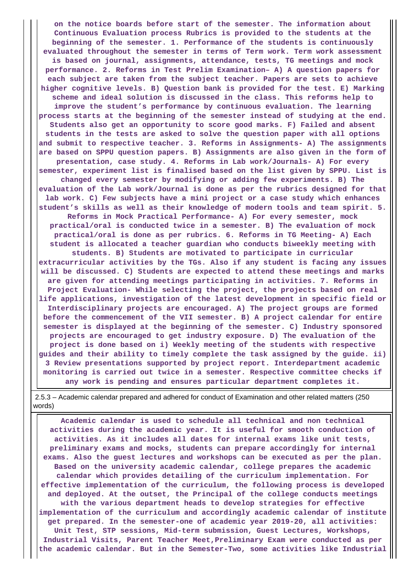**on the notice boards before start of the semester. The information about Continuous Evaluation process Rubrics is provided to the students at the beginning of the semester. 1. Performance of the students is continuously evaluated throughout the semester in terms of Term work. Term work assessment is based on journal, assignments, attendance, tests, TG meetings and mock performance. 2. Reforms in Test Prelim Examination– A) A question papers for each subject are taken from the subject teacher. Papers are sets to achieve higher cognitive levels. B) Question bank is provided for the test. E) Marking scheme and ideal solution is discussed in the class. This reforms help to improve the student's performance by continuous evaluation. The learning process starts at the beginning of the semester instead of studying at the end. Students also get an opportunity to score good marks. F) Failed and absent students in the tests are asked to solve the question paper with all options and submit to respective teacher. 3. Reforms in Assignments- A) The assignments are based on SPPU question papers. B) Assignments are also given in the form of presentation, case study. 4. Reforms in Lab work/Journals- A) For every semester, experiment list is finalised based on the list given by SPPU. List is changed every semester by modifying or adding few experiments. B) The evaluation of the Lab work/Journal is done as per the rubrics designed for that lab work. C) Few subjects have a mini project or a case study which enhances student's skills as well as their knowledge of modern tools and team spirit. 5. Reforms in Mock Practical Performance- A) For every semester, mock practical/oral is conducted twice in a semester. B) The evaluation of mock practical/oral is done as per rubrics. 6. Reforms in TG Meeting- A) Each student is allocated a teacher guardian who conducts biweekly meeting with students. B) Students are motivated to participate in curricular extracurricular activities by the TGs. Also if any student is facing any issues will be discussed. C) Students are expected to attend these meetings and marks are given for attending meetings participating in activities. 7. Reforms in Project Evaluation- While selecting the project, the projects based on real life applications, investigation of the latest development in specific field or Interdisciplinary projects are encouraged. A) The project groups are formed before the commencement of the VII semester. B) A project calendar for entire semester is displayed at the beginning of the semester. C) Industry sponsored projects are encouraged to get industry exposure. D) The evaluation of the project is done based on i) Weekly meeting of the students with respective guides and their ability to timely complete the task assigned by the guide. ii) 3 Review presentations supported by project report. Interdepartment academic monitoring is carried out twice in a semester. Respective committee checks if any work is pending and ensures particular department completes it.**

 2.5.3 – Academic calendar prepared and adhered for conduct of Examination and other related matters (250 words)

 **Academic calendar is used to schedule all technical and non technical activities during the academic year. It is useful for smooth conduction of activities. As it includes all dates for internal exams like unit tests, preliminary exams and mocks, students can prepare accordingly for internal exams. Also the guest lectures and workshops can be executed as per the plan. Based on the university academic calendar, college prepares the academic calendar which provides detailing of the curriculum implementation. For effective implementation of the curriculum, the following process is developed and deployed. At the outset, the Principal of the college conducts meetings with the various department heads to develop strategies for effective implementation of the curriculum and accordingly academic calendar of institute get prepared. In the semester-one of academic year 2019-20, all activities: Unit Test, STP sessions, Mid-term submission, Guest Lectures, Workshops, Industrial Visits, Parent Teacher Meet,Preliminary Exam were conducted as per the academic calendar. But in the Semester-Two, some activities like Industrial**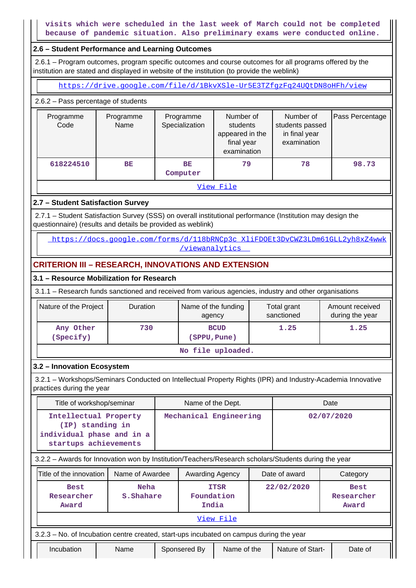**visits which were scheduled in the last week of March could not be completed because of pandemic situation. Also preliminary exams were conducted online.**

#### **2.6 – Student Performance and Learning Outcomes**

 2.6.1 – Program outcomes, program specific outcomes and course outcomes for all programs offered by the institution are stated and displayed in website of the institution (to provide the weblink)

<https://drive.google.com/file/d/1BkvXSle-Ur5E3TZfgzFq24UQtDN8oHFh/view>

2.6.2 – Pass percentage of students

| Programme<br>Code | Programme<br>Name    | Programme<br>Specialization | Number of<br>students<br>appeared in the<br>final year<br>examination | Number of<br>students passed<br>in final year<br>examination | Pass Percentage |  |  |
|-------------------|----------------------|-----------------------------|-----------------------------------------------------------------------|--------------------------------------------------------------|-----------------|--|--|
| 618224510         | BE<br>BE<br>Computer |                             | 79                                                                    | 78                                                           | 98.73           |  |  |
| View File         |                      |                             |                                                                       |                                                              |                 |  |  |

#### **2.7 – Student Satisfaction Survey**

 2.7.1 – Student Satisfaction Survey (SSS) on overall institutional performance (Institution may design the questionnaire) (results and details be provided as weblink)

 [https://docs.google.com/forms/d/118bRNCp3c\\_XliFDOEt3DvCWZ3LDm61GLL2yh8xZ4wwk](https://docs.google.com/forms/d/118bRNCp3c_XliFDOEt3DvCWZ3LDm61GLL2yh8xZ4wwk/viewanalytics) [/viewanalytics](https://docs.google.com/forms/d/118bRNCp3c_XliFDOEt3DvCWZ3LDm61GLL2yh8xZ4wwk/viewanalytics) 

## **CRITERION III – RESEARCH, INNOVATIONS AND EXTENSION**

#### **3.1 – Resource Mobilization for Research**

3.1.1 – Research funds sanctioned and received from various agencies, industry and other organisations

| Nature of the Project  | <b>Duration</b> | Name of the funding<br>agency | Total grant<br>sanctioned | Amount received<br>during the year |
|------------------------|-----------------|-------------------------------|---------------------------|------------------------------------|
| Any Other<br>(Specify) | 730             | <b>BCUD</b><br>(SPPU, Pune)   | 1.25                      | 1.25                               |
|                        |                 | No file uploaded.             |                           |                                    |

#### **3.2 – Innovation Ecosystem**

 3.2.1 – Workshops/Seminars Conducted on Intellectual Property Rights (IPR) and Industry-Academia Innovative practices during the year

| Title of workshop/seminar                                                                            |                 | Name of the Dept.      |  | Date          |          |  |
|------------------------------------------------------------------------------------------------------|-----------------|------------------------|--|---------------|----------|--|
| Intellectual Property<br>(IP) standing in<br>individual phase and in a<br>startups achievements      |                 | Mechanical Engineering |  | 02/07/2020    |          |  |
| 3.2.2 - Awards for Innovation won by Institution/Teachers/Research scholars/Students during the year |                 |                        |  |               |          |  |
| Title of the innovation                                                                              | Name of Awardee | <b>Awarding Agency</b> |  | Date of award | Category |  |

| <b>Best</b><br>Researcher<br>Award                                                      | Neha<br>S. Shahare |              | <b>ITSR</b><br>Foundation<br>India |  | 22/02/2020       | <b>Best</b><br>Researcher<br>Award |  |  |
|-----------------------------------------------------------------------------------------|--------------------|--------------|------------------------------------|--|------------------|------------------------------------|--|--|
|                                                                                         |                    |              | View File                          |  |                  |                                    |  |  |
| 3.2.3 – No. of Incubation centre created, start-ups incubated on campus during the year |                    |              |                                    |  |                  |                                    |  |  |
| Incubation                                                                              | Name               | Sponsered By | Name of the                        |  | Nature of Start- | Date of                            |  |  |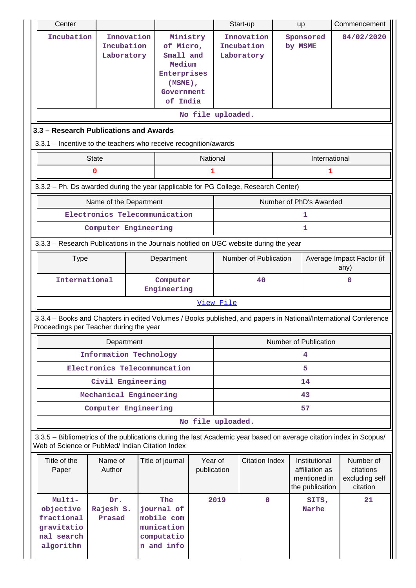| Center                                                                                                                                                                |                                        |                                                                                                     |                        |           | Start-up                               | up                                                                 | Commencement                                         |
|-----------------------------------------------------------------------------------------------------------------------------------------------------------------------|----------------------------------------|-----------------------------------------------------------------------------------------------------|------------------------|-----------|----------------------------------------|--------------------------------------------------------------------|------------------------------------------------------|
| Incubation                                                                                                                                                            | Innovation<br>Incubation<br>Laboratory | Ministry<br>of Micro,<br>Small and<br>Medium<br>Enterprises<br>$(MSME)$ ,<br>Government<br>of India |                        |           | Innovation<br>Incubation<br>Laboratory | Sponsored<br>by MSME                                               | 04/02/2020                                           |
|                                                                                                                                                                       |                                        |                                                                                                     | No file uploaded.      |           |                                        |                                                                    |                                                      |
| 3.3 - Research Publications and Awards                                                                                                                                |                                        |                                                                                                     |                        |           |                                        |                                                                    |                                                      |
| 3.3.1 – Incentive to the teachers who receive recognition/awards                                                                                                      |                                        |                                                                                                     |                        |           |                                        |                                                                    |                                                      |
|                                                                                                                                                                       | <b>State</b>                           |                                                                                                     | National               |           |                                        | International                                                      |                                                      |
|                                                                                                                                                                       | 0                                      |                                                                                                     | 1                      |           |                                        | 1                                                                  |                                                      |
| 3.3.2 - Ph. Ds awarded during the year (applicable for PG College, Research Center)                                                                                   |                                        |                                                                                                     |                        |           |                                        |                                                                    |                                                      |
|                                                                                                                                                                       | Name of the Department                 |                                                                                                     |                        |           |                                        | Number of PhD's Awarded                                            |                                                      |
|                                                                                                                                                                       | Electronics Telecommunication          |                                                                                                     |                        |           |                                        | 1                                                                  |                                                      |
|                                                                                                                                                                       | Computer Engineering                   |                                                                                                     |                        |           |                                        | 1                                                                  |                                                      |
| 3.3.3 - Research Publications in the Journals notified on UGC website during the year                                                                                 |                                        |                                                                                                     |                        |           |                                        |                                                                    |                                                      |
| <b>Type</b>                                                                                                                                                           |                                        | Department                                                                                          |                        |           | Number of Publication                  |                                                                    | Average Impact Factor (if<br>any)                    |
| International                                                                                                                                                         |                                        | Computer<br>Engineering                                                                             | 40<br>0                |           |                                        |                                                                    |                                                      |
|                                                                                                                                                                       |                                        |                                                                                                     |                        | View File |                                        |                                                                    |                                                      |
| 3.3.4 - Books and Chapters in edited Volumes / Books published, and papers in National/International Conference<br>Proceedings per Teacher during the year            |                                        |                                                                                                     |                        |           |                                        |                                                                    |                                                      |
|                                                                                                                                                                       | Department                             |                                                                                                     |                        |           |                                        | Number of Publication                                              |                                                      |
|                                                                                                                                                                       | Information Technology                 |                                                                                                     |                        |           |                                        | 4                                                                  |                                                      |
|                                                                                                                                                                       | Electronics Telecommuncation           |                                                                                                     |                        |           |                                        | 5                                                                  |                                                      |
|                                                                                                                                                                       | Civil Engineering                      |                                                                                                     |                        |           |                                        | 14                                                                 |                                                      |
|                                                                                                                                                                       | Mechanical Engineering                 |                                                                                                     |                        |           |                                        | 43                                                                 |                                                      |
|                                                                                                                                                                       | Computer Engineering                   |                                                                                                     |                        |           |                                        | 57                                                                 |                                                      |
|                                                                                                                                                                       |                                        |                                                                                                     | No file uploaded.      |           |                                        |                                                                    |                                                      |
| 3.3.5 - Bibliometrics of the publications during the last Academic year based on average citation index in Scopus/<br>Web of Science or PubMed/ Indian Citation Index |                                        |                                                                                                     |                        |           |                                        |                                                                    |                                                      |
| Title of the<br>Paper                                                                                                                                                 | Name of<br>Author                      | Title of journal                                                                                    | Year of<br>publication |           | <b>Citation Index</b>                  | Institutional<br>affiliation as<br>mentioned in<br>the publication | Number of<br>citations<br>excluding self<br>citation |
| Multi-<br>objective<br>fractional<br>gravitatio<br>nal search<br>algorithm                                                                                            | Dr.<br>Rajesh S.<br>Prasad             | The<br>journal of<br>mobile com<br>munication<br>computatio<br>n and info                           |                        | 2019      | $\mathbf{0}$                           | SITS,<br>Narhe                                                     | 21                                                   |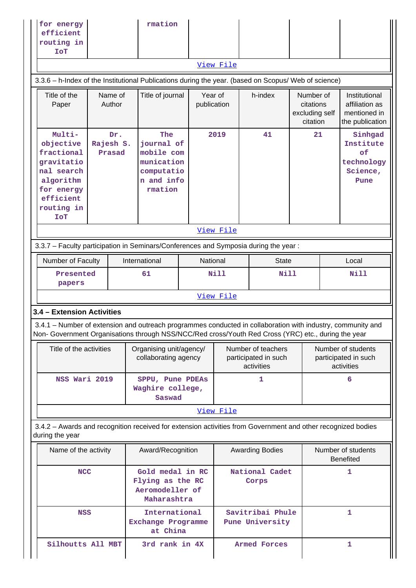| efficient<br>routing in<br><b>ToI</b>                                                                                                                                                                                                            |                            |  | rmation                                                                              |                        |             |                                                          |                                                      |                                                                    |
|--------------------------------------------------------------------------------------------------------------------------------------------------------------------------------------------------------------------------------------------------|----------------------------|--|--------------------------------------------------------------------------------------|------------------------|-------------|----------------------------------------------------------|------------------------------------------------------|--------------------------------------------------------------------|
|                                                                                                                                                                                                                                                  |                            |  |                                                                                      |                        | View File   |                                                          |                                                      |                                                                    |
| 3.3.6 - h-Index of the Institutional Publications during the year. (based on Scopus/ Web of science)                                                                                                                                             |                            |  |                                                                                      |                        |             |                                                          |                                                      |                                                                    |
| Title of the<br>Paper                                                                                                                                                                                                                            | Name of<br>Author          |  | Title of journal                                                                     | Year of<br>publication |             | h-index                                                  | Number of<br>citations<br>excluding self<br>citation | Institutional<br>affiliation as<br>mentioned in<br>the publication |
| Multi-<br>objective<br>fractional<br>gravitatio<br>nal search<br>algorithm<br>for energy<br>efficient<br>routing in<br><b>ToT</b>                                                                                                                | Dr.<br>Rajesh S.<br>Prasad |  | The<br>journal of<br>mobile com<br>munication<br>computatio<br>n and info<br>rmation |                        | 2019        | 41                                                       | 21                                                   | Sinhgad<br>Institute<br>of<br>technology<br>Science,<br>Pune       |
|                                                                                                                                                                                                                                                  |                            |  |                                                                                      |                        | View File   |                                                          |                                                      |                                                                    |
|                                                                                                                                                                                                                                                  |                            |  |                                                                                      |                        |             |                                                          |                                                      |                                                                    |
| 3.3.7 - Faculty participation in Seminars/Conferences and Symposia during the year:                                                                                                                                                              |                            |  |                                                                                      |                        |             |                                                          |                                                      |                                                                    |
| Number of Faculty                                                                                                                                                                                                                                |                            |  | International                                                                        | National               |             | <b>State</b>                                             |                                                      | Local                                                              |
| Presented<br>papers                                                                                                                                                                                                                              |                            |  | 61                                                                                   |                        | <b>Nill</b> | <b>Nill</b>                                              |                                                      | <b>Nill</b>                                                        |
|                                                                                                                                                                                                                                                  |                            |  |                                                                                      |                        | View File   |                                                          |                                                      |                                                                    |
| 3.4 - Extension Activities<br>3.4.1 – Number of extension and outreach programmes conducted in collaboration with industry, community and<br>Non- Government Organisations through NSS/NCC/Red cross/Youth Red Cross (YRC) etc., during the year |                            |  |                                                                                      |                        |             |                                                          |                                                      |                                                                    |
| Title of the activities                                                                                                                                                                                                                          |                            |  | Organising unit/agency/<br>collaborating agency                                      |                        |             | Number of teachers<br>participated in such<br>activities |                                                      | Number of students<br>participated in such<br>activities           |
| NSS Wari 2019                                                                                                                                                                                                                                    |                            |  | SPPU, Pune PDEAs<br>Saswad                                                           |                        |             |                                                          |                                                      | 6                                                                  |
|                                                                                                                                                                                                                                                  |                            |  |                                                                                      |                        |             |                                                          |                                                      |                                                                    |
|                                                                                                                                                                                                                                                  |                            |  |                                                                                      |                        |             |                                                          |                                                      |                                                                    |
|                                                                                                                                                                                                                                                  |                            |  |                                                                                      |                        |             |                                                          |                                                      |                                                                    |
| Waghire college,<br>View File<br>3.4.2 - Awards and recognition received for extension activities from Government and other recognized bodies<br>during the year<br>Award/Recognition<br>Name of the activity                                    |                            |  |                                                                                      |                        |             | <b>Awarding Bodies</b>                                   |                                                      | Number of students<br><b>Benefited</b>                             |
| <b>NCC</b>                                                                                                                                                                                                                                       |                            |  | Gold medal in RC<br>Flying as the RC<br>Aeromodeller of<br>Maharashtra               |                        |             | National Cadet<br>Corps                                  |                                                      | 1                                                                  |
| <b>NSS</b>                                                                                                                                                                                                                                       |                            |  | International<br>Exchange Programme<br>at China                                      |                        |             | Savitribai Phule<br>Pune University                      |                                                      | $\mathbf{1}$                                                       |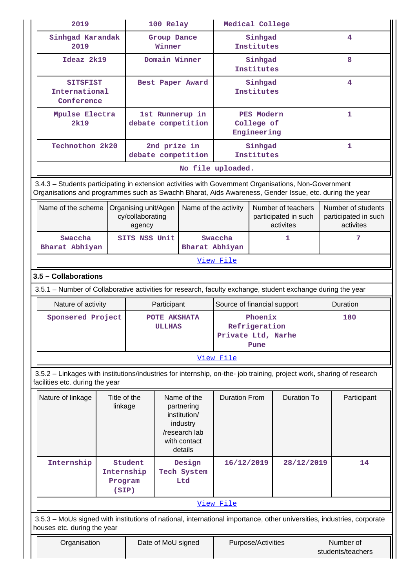| 2019                                                                                                                                                                                                           |                                |                                                    | 100 Relay                     |                                                                                                   | Medical College                                        |                       |                                                         |            |                                                         |
|----------------------------------------------------------------------------------------------------------------------------------------------------------------------------------------------------------------|--------------------------------|----------------------------------------------------|-------------------------------|---------------------------------------------------------------------------------------------------|--------------------------------------------------------|-----------------------|---------------------------------------------------------|------------|---------------------------------------------------------|
| Sinhgad Karandak<br>2019                                                                                                                                                                                       |                                |                                                    | Group Dance<br>Winner         |                                                                                                   |                                                        | Sinhgad<br>Institutes |                                                         |            | 4                                                       |
| Ideaz 2k19                                                                                                                                                                                                     |                                |                                                    |                               | Domain Winner                                                                                     |                                                        | Sinhgad<br>Institutes |                                                         |            | 8                                                       |
| <b>SITSFIST</b><br>International<br>Conference                                                                                                                                                                 |                                |                                                    |                               | Best Paper Award                                                                                  | Sinhgad<br>Institutes                                  |                       |                                                         | 4          |                                                         |
| Mpulse Electra<br>2k19                                                                                                                                                                                         |                                |                                                    |                               | 1st Runnerup in<br>debate competition                                                             | PES Modern<br>College of<br>Engineering                |                       |                                                         | 1          |                                                         |
| Technothon 2k20                                                                                                                                                                                                |                                |                                                    | 2nd prize in                  | debate competition                                                                                | Sinhgad<br>Institutes                                  |                       |                                                         |            | $\mathbf{1}$                                            |
|                                                                                                                                                                                                                |                                |                                                    |                               |                                                                                                   | No file uploaded.                                      |                       |                                                         |            |                                                         |
| 3.4.3 - Students participating in extension activities with Government Organisations, Non-Government<br>Organisations and programmes such as Swachh Bharat, Aids Awareness, Gender Issue, etc. during the year |                                |                                                    |                               |                                                                                                   |                                                        |                       |                                                         |            |                                                         |
| Name of the scheme                                                                                                                                                                                             |                                | Organising unit/Agen<br>cy/collaborating<br>agency |                               | Name of the activity                                                                              |                                                        |                       | Number of teachers<br>participated in such<br>activites |            | Number of students<br>participated in such<br>activites |
| Swaccha<br>Bharat Abhiyan                                                                                                                                                                                      |                                | SITS NSS Unit                                      |                               | Bharat Abhiyan                                                                                    | Swaccha                                                | 1                     |                                                         |            | 7                                                       |
|                                                                                                                                                                                                                |                                |                                                    |                               |                                                                                                   | View File                                              |                       |                                                         |            |                                                         |
| 3.5 - Collaborations                                                                                                                                                                                           |                                |                                                    |                               |                                                                                                   |                                                        |                       |                                                         |            |                                                         |
| 3.5.1 - Number of Collaborative activities for research, faculty exchange, student exchange during the year                                                                                                    |                                |                                                    |                               |                                                                                                   |                                                        |                       |                                                         |            |                                                         |
| Nature of activity                                                                                                                                                                                             |                                |                                                    | Participant                   |                                                                                                   | Source of financial support                            |                       |                                                         |            | Duration                                                |
| Sponsered Project                                                                                                                                                                                              |                                |                                                    | POTE AKSHATA<br><b>ULLHAS</b> |                                                                                                   | Phoenix<br>Refrigeration<br>Private Ltd, Narhe<br>Pune |                       |                                                         |            | 180                                                     |
|                                                                                                                                                                                                                |                                |                                                    |                               |                                                                                                   | View File                                              |                       |                                                         |            |                                                         |
| 3.5.2 - Linkages with institutions/industries for internship, on-the- job training, project work, sharing of research<br>facilities etc. during the year                                                       |                                |                                                    |                               |                                                                                                   |                                                        |                       |                                                         |            |                                                         |
| Nature of linkage                                                                                                                                                                                              | Title of the<br>linkage        |                                                    |                               | Name of the<br>partnering<br>institution/<br>industry<br>/research lab<br>with contact<br>details | <b>Duration From</b>                                   |                       | <b>Duration To</b>                                      |            | Participant                                             |
| Internship                                                                                                                                                                                                     | Internship<br>Program<br>(SIP) | Student                                            |                               | Design<br>Tech System<br>Ltd                                                                      | 16/12/2019                                             |                       |                                                         | 28/12/2019 | 14                                                      |
|                                                                                                                                                                                                                |                                |                                                    |                               |                                                                                                   | View File                                              |                       |                                                         |            |                                                         |
| 3.5.3 - MoUs signed with institutions of national, international importance, other universities, industries, corporate<br>houses etc. during the year                                                          |                                |                                                    |                               |                                                                                                   |                                                        |                       |                                                         |            |                                                         |
| Organisation                                                                                                                                                                                                   |                                |                                                    | Date of MoU signed            |                                                                                                   |                                                        | Purpose/Activities    |                                                         |            | Number of<br>students/teachers                          |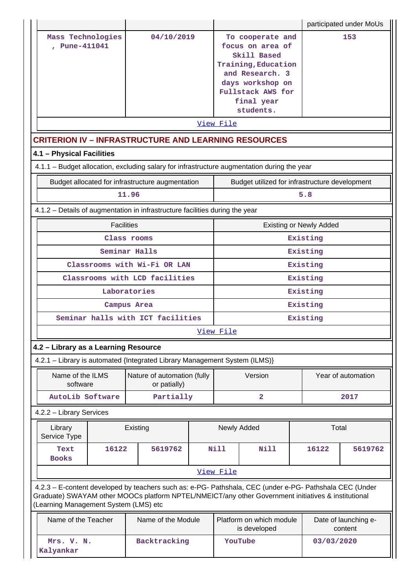|                                                                                                                                                                                                                                                         |                                             |  |             |                                                                                                                                                                   |                                | participated under MoUs         |
|---------------------------------------------------------------------------------------------------------------------------------------------------------------------------------------------------------------------------------------------------------|---------------------------------------------|--|-------------|-------------------------------------------------------------------------------------------------------------------------------------------------------------------|--------------------------------|---------------------------------|
| Mass Technologies<br>, Pune-411041                                                                                                                                                                                                                      | 04/10/2019                                  |  |             | To cooperate and<br>focus on area of<br>Skill Based<br>Training, Education<br>and Research. 3<br>days workshop on<br>Fullstack AWS for<br>final year<br>students. |                                | 153                             |
|                                                                                                                                                                                                                                                         |                                             |  | View File   |                                                                                                                                                                   |                                |                                 |
| <b>CRITERION IV - INFRASTRUCTURE AND LEARNING RESOURCES</b>                                                                                                                                                                                             |                                             |  |             |                                                                                                                                                                   |                                |                                 |
| 4.1 - Physical Facilities<br>4.1.1 - Budget allocation, excluding salary for infrastructure augmentation during the year                                                                                                                                |                                             |  |             |                                                                                                                                                                   |                                |                                 |
| Budget allocated for infrastructure augmentation                                                                                                                                                                                                        |                                             |  |             | Budget utilized for infrastructure development                                                                                                                    |                                |                                 |
|                                                                                                                                                                                                                                                         | 11.96                                       |  |             |                                                                                                                                                                   | 5.8                            |                                 |
| 4.1.2 - Details of augmentation in infrastructure facilities during the year                                                                                                                                                                            |                                             |  |             |                                                                                                                                                                   |                                |                                 |
|                                                                                                                                                                                                                                                         | <b>Facilities</b>                           |  |             |                                                                                                                                                                   | <b>Existing or Newly Added</b> |                                 |
|                                                                                                                                                                                                                                                         | Class rooms                                 |  |             |                                                                                                                                                                   | Existing                       |                                 |
|                                                                                                                                                                                                                                                         | Seminar Halls                               |  |             |                                                                                                                                                                   | Existing                       |                                 |
|                                                                                                                                                                                                                                                         | Classrooms with Wi-Fi OR LAN                |  |             |                                                                                                                                                                   | Existing                       |                                 |
|                                                                                                                                                                                                                                                         | Classrooms with LCD facilities              |  |             |                                                                                                                                                                   | Existing                       |                                 |
|                                                                                                                                                                                                                                                         | Laboratories                                |  |             |                                                                                                                                                                   | Existing                       |                                 |
|                                                                                                                                                                                                                                                         | Campus Area                                 |  |             | Existing                                                                                                                                                          |                                |                                 |
| Seminar halls with ICT facilities                                                                                                                                                                                                                       |                                             |  |             |                                                                                                                                                                   | Existing                       |                                 |
|                                                                                                                                                                                                                                                         |                                             |  | View File   |                                                                                                                                                                   |                                |                                 |
| 4.2 - Library as a Learning Resource                                                                                                                                                                                                                    |                                             |  |             |                                                                                                                                                                   |                                |                                 |
| 4.2.1 - Library is automated {Integrated Library Management System (ILMS)}                                                                                                                                                                              |                                             |  |             |                                                                                                                                                                   |                                |                                 |
| Name of the ILMS<br>software                                                                                                                                                                                                                            | Nature of automation (fully<br>or patially) |  |             | Version                                                                                                                                                           |                                | Year of automation              |
| <b>AutoLib Software</b>                                                                                                                                                                                                                                 | Partially                                   |  |             | $\overline{\mathbf{2}}$                                                                                                                                           |                                | 2017                            |
| 4.2.2 - Library Services                                                                                                                                                                                                                                |                                             |  |             |                                                                                                                                                                   |                                |                                 |
| Library<br>Service Type                                                                                                                                                                                                                                 | Existing                                    |  |             | Newly Added                                                                                                                                                       |                                | Total                           |
| 16122<br>Text<br><b>Books</b>                                                                                                                                                                                                                           | 5619762                                     |  | <b>Nill</b> | <b>Nill</b>                                                                                                                                                       | 16122                          | 5619762                         |
|                                                                                                                                                                                                                                                         |                                             |  | View File   |                                                                                                                                                                   |                                |                                 |
| 4.2.3 - E-content developed by teachers such as: e-PG- Pathshala, CEC (under e-PG- Pathshala CEC (Under<br>Graduate) SWAYAM other MOOCs platform NPTEL/NMEICT/any other Government initiatives & institutional<br>(Learning Management System (LMS) etc |                                             |  |             |                                                                                                                                                                   |                                |                                 |
| Name of the Teacher                                                                                                                                                                                                                                     | Name of the Module                          |  |             | Platform on which module<br>is developed                                                                                                                          |                                | Date of launching e-<br>content |
| Mrs. V. N.<br>Kalyankar                                                                                                                                                                                                                                 | Backtracking                                |  |             | YouTube                                                                                                                                                           | 03/03/2020                     |                                 |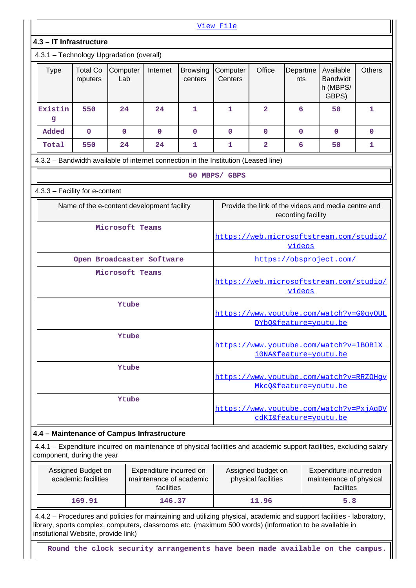|                                                                                                                                                                    |                            |                                            |              |                            | View File                                                        |                         |                       |                                                     |               |  |
|--------------------------------------------------------------------------------------------------------------------------------------------------------------------|----------------------------|--------------------------------------------|--------------|----------------------------|------------------------------------------------------------------|-------------------------|-----------------------|-----------------------------------------------------|---------------|--|
| 4.3 - IT Infrastructure                                                                                                                                            |                            |                                            |              |                            |                                                                  |                         |                       |                                                     |               |  |
| 4.3.1 - Technology Upgradation (overall)                                                                                                                           |                            |                                            |              |                            |                                                                  |                         |                       |                                                     |               |  |
| <b>Type</b>                                                                                                                                                        | <b>Total Co</b><br>mputers | Computer<br>Lab                            | Internet     | <b>Browsing</b><br>centers | Computer<br>Centers                                              | Office                  | Departme<br>nts       | Available<br><b>Bandwidt</b><br>h (MBPS/<br>GBPS)   | <b>Others</b> |  |
| Existin<br>g                                                                                                                                                       | 550                        | 24                                         | 24           | 1                          | 1                                                                | $\overline{\mathbf{2}}$ | 6                     | 50                                                  | 1             |  |
| Added                                                                                                                                                              | 0                          | $\mathbf 0$                                | $\mathbf{0}$ | $\mathbf 0$                | $\mathbf 0$                                                      | 0                       | $\mathbf{0}$          | $\mathbf 0$                                         | $\mathbf 0$   |  |
| Total                                                                                                                                                              | 550                        | 24                                         | 24           | 1                          | 1                                                                | $\overline{\mathbf{2}}$ | 6                     | 50                                                  | 1             |  |
| 4.3.2 - Bandwidth available of internet connection in the Institution (Leased line)                                                                                |                            |                                            |              |                            |                                                                  |                         |                       |                                                     |               |  |
|                                                                                                                                                                    |                            |                                            |              |                            | 50 MBPS/ GBPS                                                    |                         |                       |                                                     |               |  |
| 4.3.3 - Facility for e-content                                                                                                                                     |                            |                                            |              |                            |                                                                  |                         |                       |                                                     |               |  |
|                                                                                                                                                                    |                            | Name of the e-content development facility |              |                            |                                                                  |                         | recording facility    | Provide the link of the videos and media centre and |               |  |
|                                                                                                                                                                    |                            | Microsoft Teams                            |              |                            | https://web.microsoftstream.com/studio/<br>videos                |                         |                       |                                                     |               |  |
|                                                                                                                                                                    |                            | Open Broadcaster Software                  |              |                            |                                                                  |                         |                       | https://obsproject.com/                             |               |  |
|                                                                                                                                                                    |                            | Microsoft Teams                            |              |                            | https://web.microsoftstream.com/studio/<br>videos                |                         |                       |                                                     |               |  |
|                                                                                                                                                                    |                            | Ytube                                      |              |                            | https://www.youtube.com/watch?v=G0qyOUL<br>DYbQ&feature=youtu.be |                         |                       |                                                     |               |  |
|                                                                                                                                                                    |                            | Ytube                                      |              |                            |                                                                  |                         | iONA&feature=youtu.be | https://www.youtube.com/watch?v=1BOB1X              |               |  |
|                                                                                                                                                                    |                            | Ytube                                      |              |                            |                                                                  |                         | MkcO&feature=youtu.be | https://www.youtube.com/watch?v=RRZOHqv             |               |  |
|                                                                                                                                                                    |                            | Ytube                                      |              |                            |                                                                  |                         | cdKI&feature=youtu.be | https://www.youtube.com/watch?v=PxjAqDV             |               |  |
| 4.4 - Maintenance of Campus Infrastructure<br>4.4.1 - Expenditure incurred on maintenance of physical facilities and academic support facilities, excluding salary |                            |                                            |              |                            |                                                                  |                         |                       |                                                     |               |  |
| component, during the year                                                                                                                                         |                            |                                            |              |                            |                                                                  |                         |                       |                                                     |               |  |

| Assigned Budget on<br>academic facilities | Expenditure incurred on<br>maintenance of academic<br>facilities | Assigned budget on<br>physical facilities | Expenditure incurredon<br>maintenance of physical<br>facilites |
|-------------------------------------------|------------------------------------------------------------------|-------------------------------------------|----------------------------------------------------------------|
| 169.91                                    | 146.37                                                           | 11.96                                     | 5.8                                                            |

 4.4.2 – Procedures and policies for maintaining and utilizing physical, academic and support facilities - laboratory, library, sports complex, computers, classrooms etc. (maximum 500 words) (information to be available in institutional Website, provide link)

**Round the clock security arrangements have been made available on the campus.**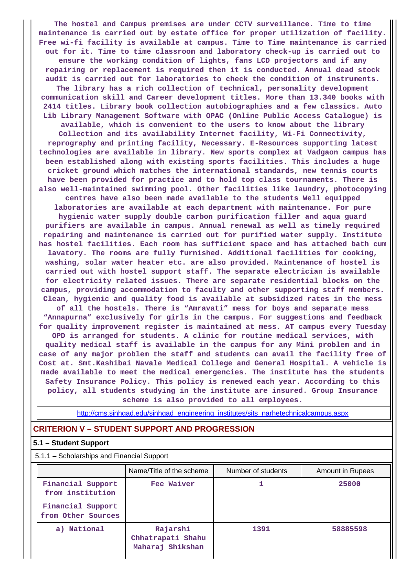**The hostel and Campus premises are under CCTV surveillance. Time to time maintenance is carried out by estate office for proper utilization of facility. Free wi-fi facility is available at campus. Time to Time maintenance is carried out for it. Time to time classroom and laboratory check-up is carried out to ensure the working condition of lights, fans LCD projectors and if any repairing or replacement is required then it is conducted. Annual dead stock audit is carried out for laboratories to check the condition of instruments. The library has a rich collection of technical, personality development communication skill and Career development titles. More than 13.340 books with 2414 titles. Library book collection autobiographies and a few classics. Auto Lib Library Management Software with OPAC (Online Public Access Catalogue) is available, which is convenient to the users to know about the library Collection and its availability Internet facility, Wi-Fi Connectivity, reprography and printing facility, Necessary. E-Resources supporting latest technologies are available in library. New sports complex at Vadgaon campus has been established along with existing sports facilities. This includes a huge cricket ground which matches the international standards, new tennis courts have been provided for practice and to hold top class tournaments. There is also well-maintained swimming pool. Other facilities like laundry, photocopying centres have also been made available to the students Well equipped laboratories are available at each department with maintenance. For pure hygienic water supply double carbon purification filler and aqua guard purifiers are available in campus. Annual renewal as well as timely required repairing and maintenance is carried out for purified water supply. Institute has hostel facilities. Each room has sufficient space and has attached bath cum lavatory. The rooms are fully furnished. Additional facilities for cooking, washing, solar water heater etc. are also provided. Maintenance of hostel is carried out with hostel support staff. The separate electrician is available for electricity related issues. There are separate residential blocks on the campus, providing accommodation to faculty and other supporting staff members. Clean, hygienic and quality food is available at subsidized rates in the mess of all the hostels. There is "Amravati" mess for boys and separate mess "Annapurna" exclusively for girls in the campus. For suggestions and feedback for quality improvement register is maintained at mess. AT campus every Tuesday OPD is arranged for students. A clinic for routine medical services, with quality medical staff is available in the campus for any Mini problem and in case of any major problem the staff and students can avail the facility free of Cost at. Smt.Kashibai Navale Medical College and General Hospital. A vehicle is made available to meet the medical emergencies. The institute has the students Safety Insurance Policy. This policy is renewed each year. According to this policy, all students studying in the institute are insured. Group Insurance**

**scheme is also provided to all employees.**

[http://cms.sinhgad.edu/sinhgad\\_engineering\\_institutes/sits\\_narhetechnicalcampus.aspx](http://cms.sinhgad.edu/sinhgad_engineering_institutes/sits_narhetechnicalcampus.aspx)

#### **CRITERION V – STUDENT SUPPORT AND PROGRESSION**

#### **5.1 – Student Support**

5.1.1 – Scholarships and Financial Support

|                                         | Name/Title of the scheme                          | Number of students | Amount in Rupees |
|-----------------------------------------|---------------------------------------------------|--------------------|------------------|
| Financial Support<br>from institution   | Fee Waiver                                        |                    | 25000            |
| Financial Support<br>from Other Sources |                                                   |                    |                  |
| a) National                             | Rajarshi<br>Chhatrapati Shahu<br>Maharaj Shikshan | 1391               | 58885598         |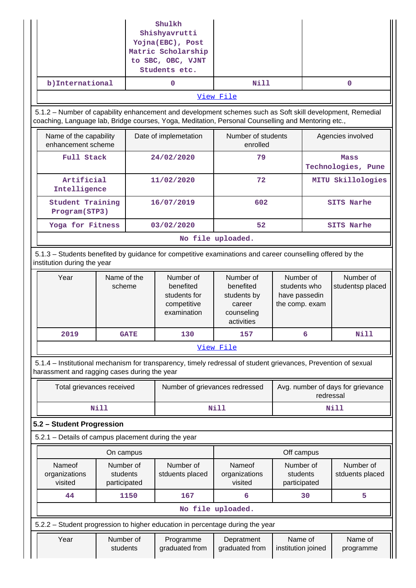|                                                     |                                       |                       | Shulkh<br>Shishyavrutti<br>Yojna(EBC), Post<br>Matric Scholarship<br>to SBC, OBC, VJNT<br>Students etc. |                                                                                                                                                                                                                 |                                                              |           |                                   |
|-----------------------------------------------------|---------------------------------------|-----------------------|---------------------------------------------------------------------------------------------------------|-----------------------------------------------------------------------------------------------------------------------------------------------------------------------------------------------------------------|--------------------------------------------------------------|-----------|-----------------------------------|
| b) International                                    |                                       |                       | 0                                                                                                       | Nill                                                                                                                                                                                                            |                                                              |           | 0                                 |
|                                                     |                                       |                       |                                                                                                         | View File                                                                                                                                                                                                       |                                                              |           |                                   |
|                                                     |                                       |                       |                                                                                                         | 5.1.2 – Number of capability enhancement and development schemes such as Soft skill development, Remedial<br>coaching, Language lab, Bridge courses, Yoga, Meditation, Personal Counselling and Mentoring etc., |                                                              |           |                                   |
| Name of the capability<br>enhancement scheme        |                                       | Date of implemetation |                                                                                                         | Number of students<br>enrolled                                                                                                                                                                                  |                                                              |           | Agencies involved                 |
| Full Stack                                          |                                       |                       | 24/02/2020                                                                                              | 79                                                                                                                                                                                                              |                                                              |           | Mass<br>Technologies, Pune        |
| Artificial<br>Intelligence                          |                                       |                       | 11/02/2020                                                                                              | 72                                                                                                                                                                                                              |                                                              |           | MITU Skillologies                 |
| Student Training<br>Program(STP3)                   |                                       |                       | 16/07/2019                                                                                              | 602<br>52                                                                                                                                                                                                       |                                                              |           | <b>SITS Narhe</b>                 |
| Yoga for Fitness                                    |                                       |                       | 03/02/2020                                                                                              |                                                                                                                                                                                                                 |                                                              |           | <b>SITS Narhe</b>                 |
|                                                     |                                       |                       |                                                                                                         | No file uploaded.                                                                                                                                                                                               |                                                              |           |                                   |
| institution during the year                         |                                       |                       |                                                                                                         | 5.1.3 – Students benefited by guidance for competitive examinations and career counselling offered by the                                                                                                       |                                                              |           |                                   |
| Year                                                | Name of the<br>scheme                 |                       | Number of<br>benefited<br>students for<br>competitive<br>examination                                    | Number of<br>benefited<br>students by<br>career<br>counseling<br>activities                                                                                                                                     | Number of<br>students who<br>have passedin<br>the comp. exam |           | Number of<br>studentsp placed     |
| 2019                                                |                                       | <b>GATE</b>           | 130                                                                                                     | 157                                                                                                                                                                                                             |                                                              | 6         | Nill                              |
|                                                     |                                       |                       |                                                                                                         | View File                                                                                                                                                                                                       |                                                              |           |                                   |
| harassment and ragging cases during the year        |                                       |                       |                                                                                                         | 5.1.4 - Institutional mechanism for transparency, timely redressal of student grievances, Prevention of sexual                                                                                                  |                                                              |           |                                   |
| Total grievances received                           |                                       |                       | Number of grievances redressed                                                                          |                                                                                                                                                                                                                 |                                                              | redressal | Avg. number of days for grievance |
|                                                     | <b>Nill</b>                           |                       |                                                                                                         | Nill                                                                                                                                                                                                            |                                                              |           | <b>Nill</b>                       |
| 5.2 - Student Progression                           |                                       |                       |                                                                                                         |                                                                                                                                                                                                                 |                                                              |           |                                   |
| 5.2.1 - Details of campus placement during the year |                                       |                       |                                                                                                         |                                                                                                                                                                                                                 |                                                              |           |                                   |
|                                                     | On campus                             |                       |                                                                                                         |                                                                                                                                                                                                                 | Off campus                                                   |           |                                   |
| Nameof<br>organizations<br>visited                  | Number of<br>students<br>participated |                       | Number of<br>stduents placed                                                                            | Nameof<br>organizations<br>visited                                                                                                                                                                              | Number of<br>students<br>participated                        |           | Number of<br>stduents placed      |
| 44                                                  |                                       | 1150                  | 167                                                                                                     | 6                                                                                                                                                                                                               |                                                              | 30        | 5                                 |
|                                                     |                                       |                       |                                                                                                         | No file uploaded.                                                                                                                                                                                               |                                                              |           |                                   |
|                                                     |                                       |                       |                                                                                                         | 5.2.2 – Student progression to higher education in percentage during the year                                                                                                                                   |                                                              |           |                                   |
| Year                                                | Number of<br>students                 |                       | Programme<br>graduated from                                                                             | Depratment<br>graduated from                                                                                                                                                                                    | Name of<br>institution joined                                |           | Name of<br>programme              |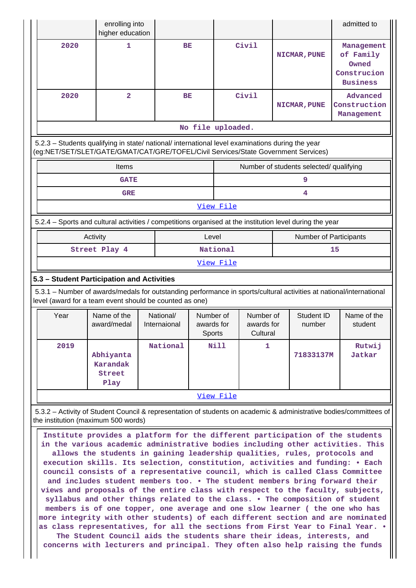|                                                                                                                                                                                        | enrolling into<br>higher education      |                           |                                   |           |                                     |                                         | admitted to                                                                                                        |
|----------------------------------------------------------------------------------------------------------------------------------------------------------------------------------------|-----------------------------------------|---------------------------|-----------------------------------|-----------|-------------------------------------|-----------------------------------------|--------------------------------------------------------------------------------------------------------------------|
| 2020                                                                                                                                                                                   | 1                                       |                           | BE                                |           | Civil                               | NICMAR, PUNE                            | Management<br>of Family<br>Owned<br>Construcion<br><b>Business</b>                                                 |
| 2020                                                                                                                                                                                   | $\overline{2}$                          |                           | BE                                |           | Civil                               | NICMAR, PUNE                            | Advanced<br>Construction<br>Management                                                                             |
|                                                                                                                                                                                        |                                         |                           | No file uploaded.                 |           |                                     |                                         |                                                                                                                    |
| 5.2.3 - Students qualifying in state/ national/ international level examinations during the year<br>(eg:NET/SET/SLET/GATE/GMAT/CAT/GRE/TOFEL/Civil Services/State Government Services) |                                         |                           |                                   |           |                                     |                                         |                                                                                                                    |
|                                                                                                                                                                                        | Items                                   |                           |                                   |           |                                     | Number of students selected/ qualifying |                                                                                                                    |
|                                                                                                                                                                                        | <b>GATE</b>                             |                           |                                   |           |                                     | 9                                       |                                                                                                                    |
|                                                                                                                                                                                        | <b>GRE</b>                              |                           |                                   |           |                                     | 4                                       |                                                                                                                    |
|                                                                                                                                                                                        |                                         |                           |                                   | View File |                                     |                                         |                                                                                                                    |
| 5.2.4 – Sports and cultural activities / competitions organised at the institution level during the year                                                                               |                                         |                           |                                   |           |                                     |                                         |                                                                                                                    |
|                                                                                                                                                                                        | Activity                                |                           | Level                             |           |                                     | <b>Number of Participants</b>           |                                                                                                                    |
|                                                                                                                                                                                        | Street Play 4                           |                           |                                   | National  |                                     |                                         | 15                                                                                                                 |
|                                                                                                                                                                                        |                                         |                           |                                   | View File |                                     |                                         |                                                                                                                    |
|                                                                                                                                                                                        |                                         |                           |                                   |           |                                     |                                         |                                                                                                                    |
| 5.3 - Student Participation and Activities                                                                                                                                             |                                         |                           |                                   |           |                                     |                                         |                                                                                                                    |
| 5.3.1 – Number of awards/medals for outstanding performance in sports/cultural activities at national/international<br>level (award for a team event should be counted as one)         |                                         |                           |                                   |           |                                     |                                         |                                                                                                                    |
| Year                                                                                                                                                                                   | Name of the<br>award/medal              | National/<br>Internaional | Number of<br>awards for<br>Sports |           | Number of<br>awards for<br>Cultural | Student ID<br>number                    | Name of the<br>student                                                                                             |
| 2019                                                                                                                                                                                   | Abhiyanta<br>Karandak<br>Street<br>Play | National                  |                                   | Nill      | 1.                                  | 71833137M                               | Rutwij<br>Jatkar                                                                                                   |
|                                                                                                                                                                                        |                                         |                           |                                   | View File |                                     |                                         |                                                                                                                    |
| the institution (maximum 500 words)                                                                                                                                                    |                                         |                           |                                   |           |                                     |                                         | 5.3.2 - Activity of Student Council & representation of students on academic & administrative bodies/committees of |

**as class representatives, for all the sections from First Year to Final Year. • The Student Council aids the students share their ideas, interests, and concerns with lecturers and principal. They often also help raising the funds**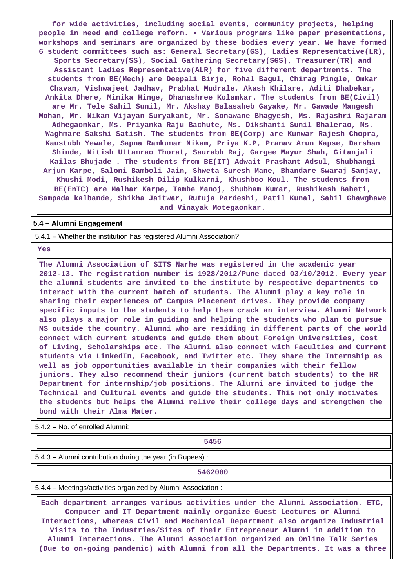**for wide activities, including social events, community projects, helping people in need and college reform. • Various programs like paper presentations, workshops and seminars are organized by these bodies every year. We have formed 6 student committees such as: General Secretary(GS), Ladies Representative(LR), Sports Secretary(SS), Social Gathering Secretary(SGS), Treasurer(TR) and Assistant Ladies Representative(ALR) for five different departments. The students from BE(Mech) are Deepali Birje, Rohal Bagul, Chirag Pingle, Omkar Chavan, Vishwajeet Jadhav, Prabhat Mudrale, Akash Khilare, Aditi Dhabekar, Ankita Dhere, Minika Hinge, Dhanashree Kolamkar. The students from BE(Civil) are Mr. Tele Sahil Sunil, Mr. Akshay Balasaheb Gayake, Mr. Gawade Mangesh Mohan, Mr. Nikam Vijayan Suryakant, Mr. Sonawane Bhagyesh, Ms. Rajashri Rajaram Adhegaonkar, Ms. Priyanka Raju Bachute, Ms. Dikshanti Sunil Bhalerao, Ms. Waghmare Sakshi Satish. The students from BE(Comp) are Kunwar Rajesh Chopra, Kaustubh Yewale, Sapna Ramkumar Nikam, Priya K.P, Pranav Arun Kapse, Darshan Shinde, Nitish Uttamrao Thorat, Saurabh Raj, Gargee Mayur Shah, Gitanjali Kailas Bhujade . The students from BE(IT) Adwait Prashant Adsul, Shubhangi Arjun Karpe, Saloni Bamboli Jain, Shweta Suresh Mane, Bhandare Swaraj Sanjay, Khushi Modi, Rushikesh Dilip Kulkarni, Khushboo Koul. The students from BE(EnTC) are Malhar Karpe, Tambe Manoj, Shubham Kumar, Rushikesh Baheti, Sampada kalbande, Shikha Jaitwar, Rutuja Pardeshi, Patil Kunal, Sahil Ghawghawe and Vinayak Motegaonkar.**

#### **5.4 – Alumni Engagement**

5.4.1 – Whether the institution has registered Alumni Association?

 **Yes**

 **The Alumni Association of SITS Narhe was registered in the academic year 2012-13. The registration number is 1928/2012/Pune dated 03/10/2012. Every year the alumni students are invited to the institute by respective departments to interact with the current batch of students. The Alumni play a key role in sharing their experiences of Campus Placement drives. They provide company specific inputs to the students to help them crack an interview. Alumni Network also plays a major role in guiding and helping the students who plan to pursue MS outside the country. Alumni who are residing in different parts of the world connect with current students and guide them about Foreign Universities, Cost of Living, Scholarships etc. The Alumni also connect with Faculties and Current students via LinkedIn, Facebook, and Twitter etc. They share the Internship as well as job opportunities available in their companies with their fellow juniors. They also recommend their juniors (current batch students) to the HR Department for internship/job positions. The Alumni are invited to judge the Technical and Cultural events and guide the students. This not only motivates the students but helps the Alumni relive their college days and strengthen the bond with their Alma Mater.**

5.4.2 – No. of enrolled Alumni:

#### **5456**

5.4.3 – Alumni contribution during the year (in Rupees) :

**5462000**

5.4.4 – Meetings/activities organized by Alumni Association :

 **Each department arranges various activities under the Alumni Association. ETC, Computer and IT Department mainly organize Guest Lectures or Alumni Interactions, whereas Civil and Mechanical Department also organize Industrial Visits to the Industries/Sites of their Entrepreneur Alumni in addition to Alumni Interactions. The Alumni Association organized an Online Talk Series (Due to on-going pandemic) with Alumni from all the Departments. It was a three**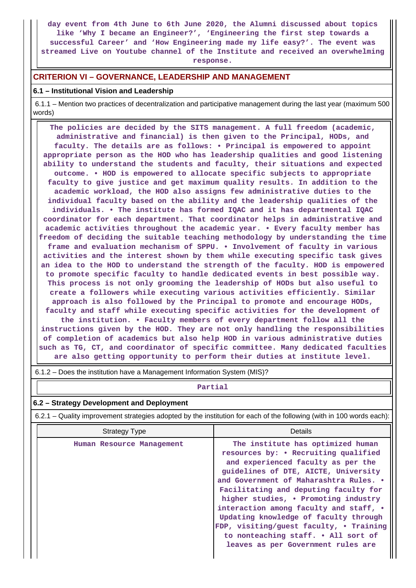**day event from 4th June to 6th June 2020, the Alumni discussed about topics like 'Why I became an Engineer?', 'Engineering the first step towards a successful Career' and 'How Engineering made my life easy?'. The event was streamed Live on Youtube channel of the Institute and received an overwhelming response.**

#### **CRITERION VI – GOVERNANCE, LEADERSHIP AND MANAGEMENT**

#### **6.1 – Institutional Vision and Leadership**

 $\mathbf{1}$ 

 6.1.1 – Mention two practices of decentralization and participative management during the last year (maximum 500 words)

 **The policies are decided by the SITS management. A full freedom (academic, administrative and financial) is then given to the Principal, HODs, and faculty. The details are as follows: • Principal is empowered to appoint appropriate person as the HOD who has leadership qualities and good listening ability to understand the students and faculty, their situations and expected outcome. • HOD is empowered to allocate specific subjects to appropriate faculty to give justice and get maximum quality results. In addition to the academic workload, the HOD also assigns few administrative duties to the individual faculty based on the ability and the leadership qualities of the individuals. • The institute has formed IQAC and it has departmental IQAC coordinator for each department. That coordinator helps in administrative and academic activities throughout the academic year. • Every faculty member has freedom of deciding the suitable teaching methodology by understanding the time frame and evaluation mechanism of SPPU. • Involvement of faculty in various activities and the interest shown by them while executing specific task gives an idea to the HOD to understand the strength of the faculty. HOD is empowered to promote specific faculty to handle dedicated events in best possible way. This process is not only grooming the leadership of HODs but also useful to create a followers while executing various activities efficiently. Similar approach is also followed by the Principal to promote and encourage HODs, faculty and staff while executing specific activities for the development of the institution. • Faculty members of every department follow all the instructions given by the HOD. They are not only handling the responsibilities of completion of academics but also help HOD in various administrative duties such as TG, CT, and coordinator of specific committee. Many dedicated faculties are also getting opportunity to perform their duties at institute level.**

| 6.1.2 – Does the institution have a Management Information System (MIS)?                                              |                                                                                                                                                                                                                                                                                                                                                                                                                                                                                               |  |  |  |  |  |
|-----------------------------------------------------------------------------------------------------------------------|-----------------------------------------------------------------------------------------------------------------------------------------------------------------------------------------------------------------------------------------------------------------------------------------------------------------------------------------------------------------------------------------------------------------------------------------------------------------------------------------------|--|--|--|--|--|
|                                                                                                                       | Partial                                                                                                                                                                                                                                                                                                                                                                                                                                                                                       |  |  |  |  |  |
| 6.2 - Strategy Development and Deployment                                                                             |                                                                                                                                                                                                                                                                                                                                                                                                                                                                                               |  |  |  |  |  |
| 6.2.1 – Quality improvement strategies adopted by the institution for each of the following (with in 100 words each): |                                                                                                                                                                                                                                                                                                                                                                                                                                                                                               |  |  |  |  |  |
| <b>Strategy Type</b>                                                                                                  | Details                                                                                                                                                                                                                                                                                                                                                                                                                                                                                       |  |  |  |  |  |
| Human Resource Management                                                                                             | The institute has optimized human<br>resources by: • Recruiting qualified<br>and experienced faculty as per the<br>guidelines of DTE, AICTE, University<br>and Government of Maharashtra Rules. .<br>Facilitating and deputing faculty for<br>higher studies, • Promoting industry<br>interaction among faculty and staff, .<br>Updating knowledge of faculty through<br>FDP, visiting/guest faculty, • Training<br>to nonteaching staff. • All sort of<br>leaves as per Government rules are |  |  |  |  |  |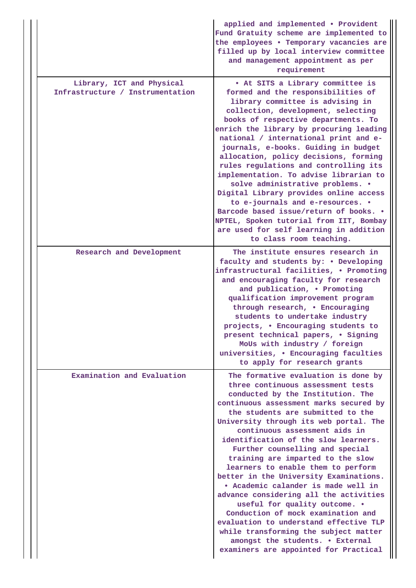|                                                               | applied and implemented . Provident<br>Fund Gratuity scheme are implemented to<br>the employees . Temporary vacancies are<br>filled up by local interview committee<br>and management appointment as per<br>requirement                                                                                                                                                                                                                                                                                                                                                                                                                                                                                                                                                                         |
|---------------------------------------------------------------|-------------------------------------------------------------------------------------------------------------------------------------------------------------------------------------------------------------------------------------------------------------------------------------------------------------------------------------------------------------------------------------------------------------------------------------------------------------------------------------------------------------------------------------------------------------------------------------------------------------------------------------------------------------------------------------------------------------------------------------------------------------------------------------------------|
| Library, ICT and Physical<br>Infrastructure / Instrumentation | . At SITS a Library committee is<br>formed and the responsibilities of<br>library committee is advising in<br>collection, development, selecting<br>books of respective departments. To<br>enrich the library by procuring leading<br>national / international print and e-<br>journals, e-books. Guiding in budget<br>allocation, policy decisions, forming<br>rules regulations and controlling its<br>implementation. To advise librarian to<br>solve administrative problems. .<br>Digital Library provides online access<br>to e-journals and e-resources. .<br>Barcode based issue/return of books. .<br>NPTEL, Spoken tutorial from IIT, Bombay<br>are used for self learning in addition<br>to class room teaching.                                                                     |
| Research and Development                                      | The institute ensures research in<br>faculty and students by: . Developing<br>infrastructural facilities, . Promoting<br>and encouraging faculty for research<br>and publication, . Promoting<br>qualification improvement program<br>through research, . Encouraging<br>students to undertake industry<br>projects, . Encouraging students to<br>present technical papers, . Signing<br>MoUs with industry / foreign<br>universities, . Encouraging faculties<br>to apply for research grants                                                                                                                                                                                                                                                                                                  |
| Examination and Evaluation                                    | The formative evaluation is done by<br>three continuous assessment tests<br>conducted by the Institution. The<br>continuous assessment marks secured by<br>the students are submitted to the<br>University through its web portal. The<br>continuous assessment aids in<br>identification of the slow learners.<br>Further counselling and special<br>training are imparted to the slow<br>learners to enable them to perform<br>better in the University Examinations.<br>• Academic calander is made well in<br>advance considering all the activities<br>useful for quality outcome. .<br>Conduction of mock examination and<br>evaluation to understand effective TLP<br>while transforming the subject matter<br>amongst the students. . External<br>examiners are appointed for Practical |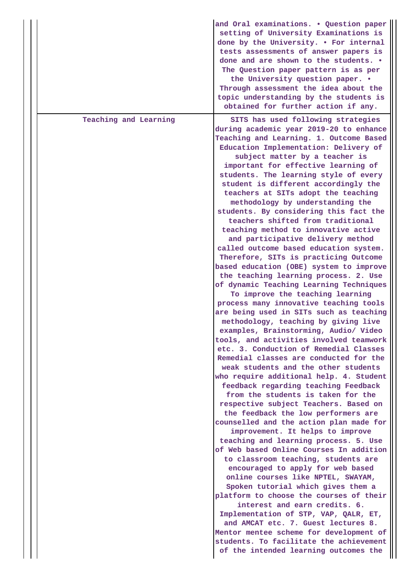| topic understanding by the students is<br>obtained for further action if any.                                                                                                                                                                                                                                                                                                                                                                                                                                                                                                                                                                                                                                                                                                                                                                                                                                                                                                                                                                                                                                                                                                                                                                                                                                                                                                                                                                                                                                                                                                                                                                                                                                                                                                                                                                                                                                                                                                                                                 |  |
|-------------------------------------------------------------------------------------------------------------------------------------------------------------------------------------------------------------------------------------------------------------------------------------------------------------------------------------------------------------------------------------------------------------------------------------------------------------------------------------------------------------------------------------------------------------------------------------------------------------------------------------------------------------------------------------------------------------------------------------------------------------------------------------------------------------------------------------------------------------------------------------------------------------------------------------------------------------------------------------------------------------------------------------------------------------------------------------------------------------------------------------------------------------------------------------------------------------------------------------------------------------------------------------------------------------------------------------------------------------------------------------------------------------------------------------------------------------------------------------------------------------------------------------------------------------------------------------------------------------------------------------------------------------------------------------------------------------------------------------------------------------------------------------------------------------------------------------------------------------------------------------------------------------------------------------------------------------------------------------------------------------------------------|--|
| Teaching and Learning<br>SITS has used following strategies<br>during academic year 2019-20 to enhance<br>Teaching and Learning. 1. Outcome Based<br>Education Implementation: Delivery of<br>subject matter by a teacher is<br>important for effective learning of<br>students. The learning style of every<br>student is different accordingly the<br>teachers at SITs adopt the teaching<br>methodology by understanding the<br>students. By considering this fact the<br>teachers shifted from traditional<br>teaching method to innovative active<br>and participative delivery method<br>called outcome based education system.<br>Therefore, SITs is practicing Outcome<br>based education (OBE) system to improve<br>the teaching learning process. 2. Use<br>of dynamic Teaching Learning Techniques<br>To improve the teaching learning<br>process many innovative teaching tools<br>are being used in SITs such as teaching<br>methodology, teaching by giving live<br>examples, Brainstorming, Audio/ Video<br>tools, and activities involved teamwork<br>etc. 3. Conduction of Remedial Classes<br>Remedial classes are conducted for the<br>weak students and the other students<br>who require additional help. 4. Student<br>feedback regarding teaching Feedback<br>from the students is taken for the<br>respective subject Teachers. Based on<br>the feedback the low performers are<br>counselled and the action plan made for<br>improvement. It helps to improve<br>teaching and learning process. 5. Use<br>of Web based Online Courses In addition<br>to classroom teaching, students are<br>encouraged to apply for web based<br>online courses like NPTEL, SWAYAM,<br>Spoken tutorial which gives them a<br>platform to choose the courses of their<br>interest and earn credits. 6.<br>Implementation of STP, VAP, QALR, ET,<br>and AMCAT etc. 7. Guest lectures 8.<br>Mentor mentee scheme for development of<br>students. To facilitate the achievement<br>of the intended learning outcomes the |  |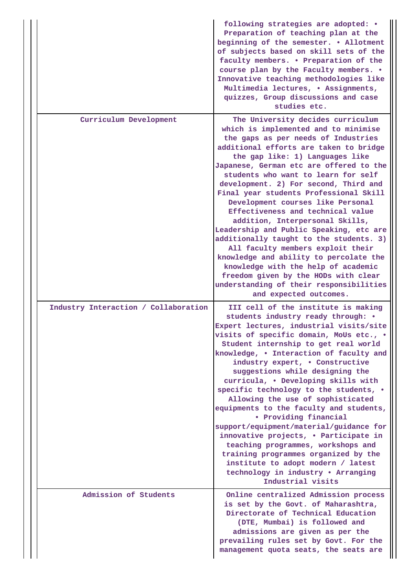|                                      | following strategies are adopted: .<br>Preparation of teaching plan at the<br>beginning of the semester. . Allotment<br>of subjects based on skill sets of the<br>faculty members. . Preparation of the<br>course plan by the Faculty members. .<br>Innovative teaching methodologies like<br>Multimedia lectures, . Assignments,<br>quizzes, Group discussions and case<br>studies etc.                                                                                                                                                                                                                                                                                                                                                                                                                 |  |  |  |
|--------------------------------------|----------------------------------------------------------------------------------------------------------------------------------------------------------------------------------------------------------------------------------------------------------------------------------------------------------------------------------------------------------------------------------------------------------------------------------------------------------------------------------------------------------------------------------------------------------------------------------------------------------------------------------------------------------------------------------------------------------------------------------------------------------------------------------------------------------|--|--|--|
| Curriculum Development               | The University decides curriculum<br>which is implemented and to minimise<br>the gaps as per needs of Industries<br>additional efforts are taken to bridge<br>the gap like: 1) Languages like<br>Japanese, German etc are offered to the<br>students who want to learn for self<br>development. 2) For second, Third and<br>Final year students Professional Skill<br>Development courses like Personal<br>Effectiveness and technical value<br>addition, Interpersonal Skills,<br>Leadership and Public Speaking, etc are<br>additionally taught to the students. 3)<br>All faculty members exploit their<br>knowledge and ability to percolate the<br>knowledge with the help of academic<br>freedom given by the HODs with clear<br>understanding of their responsibilities<br>and expected outcomes. |  |  |  |
| Industry Interaction / Collaboration | III cell of the institute is making<br>students industry ready through: .<br>Expert lectures, industrial visits/site<br>visits of specific domain, MoUs etc., .<br>Student internship to get real world<br>knowledge, . Interaction of faculty and<br>industry expert, . Constructive<br>suggestions while designing the<br>curricula, . Developing skills with<br>specific technology to the students, .<br>Allowing the use of sophisticated<br>equipments to the faculty and students,<br>• Providing financial<br>support/equipment/material/guidance for<br>innovative projects, . Participate in<br>teaching programmes, workshops and<br>training programmes organized by the<br>institute to adopt modern / latest<br>technology in industry . Arranging<br>Industrial visits                    |  |  |  |
| Admission of Students                | Online centralized Admission process<br>is set by the Govt. of Maharashtra,<br>Directorate of Technical Education<br>(DTE, Mumbai) is followed and<br>admissions are given as per the<br>prevailing rules set by Govt. For the<br>management quota seats, the seats are                                                                                                                                                                                                                                                                                                                                                                                                                                                                                                                                  |  |  |  |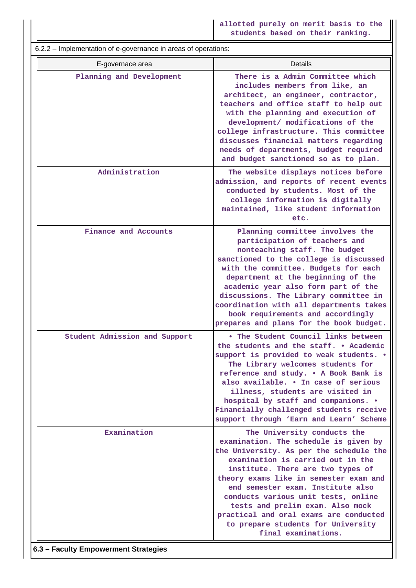**allotted purely on merit basis to the students based on their ranking.**

 6.2.2 – Implementation of e-governance in areas of operations: E-governace area **Details Planning and Development There is a Admin Committee which includes members from like, an architect, an engineer, contractor, teachers and office staff to help out with the planning and execution of development/ modifications of the college infrastructure. This committee discusses financial matters regarding needs of departments, budget required and budget sanctioned so as to plan. Administration The website displays notices before admission, and reports of recent events conducted by students. Most of the college information is digitally maintained, like student information etc. Finance and Accounts Planning committee involves the participation of teachers and nonteaching staff. The budget sanctioned to the college is discussed with the committee. Budgets for each department at the beginning of the academic year also form part of the discussions. The Library committee in coordination with all departments takes book requirements and accordingly prepares and plans for the book budget. Student Admission and Support • The Student Council links between the students and the staff. • Academic support is provided to weak students. • The Library welcomes students for reference and study. • A Book Bank is also available. • In case of serious illness, students are visited in hospital by staff and companions. • Financially challenged students receive support through 'Earn and Learn' Scheme Examination** The University conducts the **examination. The schedule is given by the University. As per the schedule the examination is carried out in the institute. There are two types of theory exams like in semester exam and end semester exam. Institute also conducts various unit tests, online tests and prelim exam. Also mock practical and oral exams are conducted to prepare students for University final examinations.**

**6.3 – Faculty Empowerment Strategies**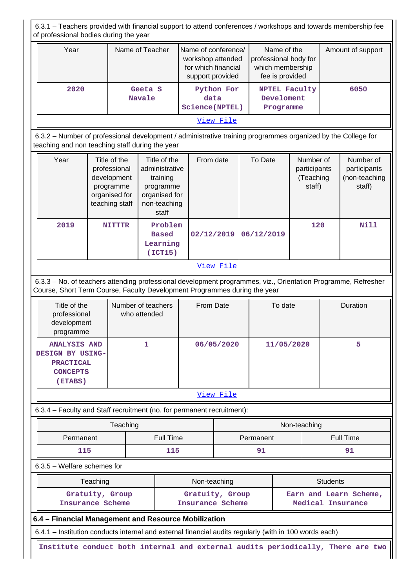6.3.1 – Teachers provided with financial support to attend conferences / workshops and towards membership fee of professional bodies during the year Year **Name of Teacher** Name of conference/ workshop attended for which financial support provided Name of the professional body for which membership fee is provided Amount of support  **2020 Geeta S Navale Python For data Science(NPTEL) NPTEL Faculty Develoment Programme 6050** [View File](https://assessmentonline.naac.gov.in/public/Postacc/Faculty_Emp/7630_Faculty_Emp_1607599966.xlsx) 6.3.2 – Number of professional development / administrative training programmes organized by the College for teaching and non teaching staff during the year Year | Title of the professional development programme organised for teaching staff Title of the administrative training programme organised for non-teaching staff From date To Date Number of participants (Teaching staff) Number of participants (non-teaching staff)  **2019 NITTTR Problem Based Learning (ICT15) 02/12/2019 06/12/2019 120 Nill** [View File](https://assessmentonline.naac.gov.in/public/Postacc/Development_training_programmes/7630_Development_training_programmes_1607600120.xlsx) 6.3.3 – No. of teachers attending professional development programmes, viz., Orientation Programme, Refresher Course, Short Term Course, Faculty Development Programmes during the year Title of the professional development programme Number of teachers who attended From Date  $\overline{a}$  To date  $\overline{a}$  Duration  **ANALYSIS AND DESIGN BY USING-PRACTICAL CONCEPTS (ETABS) 1 06/05/2020 11/05/2020 5** [View File](https://assessmentonline.naac.gov.in/public/Postacc/Training_Programmes/7630_Training_Programmes_1607600278.xlsx) 6.3.4 – Faculty and Staff recruitment (no. for permanent recruitment): Teaching Non-teaching Non-teaching Permanent | Full Time | Permanent | Full Time  **115 115 91 91** 6.3.5 – Welfare schemes for Teaching **Non-teaching** Non-teaching **Non-teaching** Students  **Gratuity, Group Insurance Scheme Gratuity, Group Insurance Scheme Earn and Learn Scheme, Medical Insurance 6.4 – Financial Management and Resource Mobilization** 6.4.1 – Institution conducts internal and external financial audits regularly (with in 100 words each) **Institute conduct both internal and external audits periodically, There are two**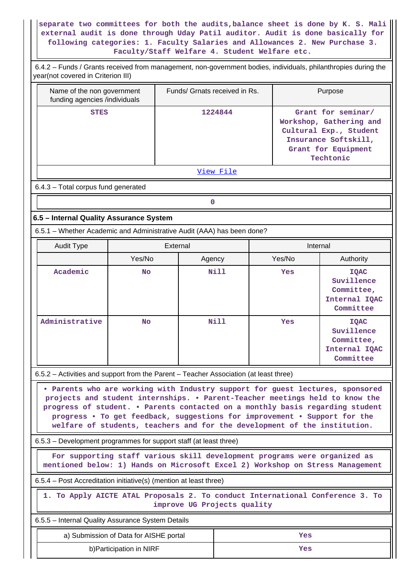**separate two committees for both the audits,balance sheet is done by K. S. Mali external audit is done through Uday Patil auditor. Audit is done basically for following categories: 1. Faculty Salaries and Allowances 2. New Purchase 3. Faculty/Staff Welfare 4. Student Welfare etc.**

| 6.4.2 – Funds / Grants received from management, non-government bodies, individuals, philanthropies during the<br>year(not covered in Criterion III)                                                                                                                                                                                                                                                     |                                        |                               |             |                                                                                                                                     |                                                                       |  |
|----------------------------------------------------------------------------------------------------------------------------------------------------------------------------------------------------------------------------------------------------------------------------------------------------------------------------------------------------------------------------------------------------------|----------------------------------------|-------------------------------|-------------|-------------------------------------------------------------------------------------------------------------------------------------|-----------------------------------------------------------------------|--|
| Name of the non government<br>funding agencies /individuals                                                                                                                                                                                                                                                                                                                                              |                                        | Funds/ Grnats received in Rs. |             |                                                                                                                                     | Purpose                                                               |  |
| 1224844<br><b>STES</b>                                                                                                                                                                                                                                                                                                                                                                                   |                                        |                               |             | Grant for seminar/<br>Workshop, Gathering and<br>Cultural Exp., Student<br>Insurance Softskill,<br>Grant for Equipment<br>Techtonic |                                                                       |  |
|                                                                                                                                                                                                                                                                                                                                                                                                          |                                        |                               | View File   |                                                                                                                                     |                                                                       |  |
| 6.4.3 - Total corpus fund generated                                                                                                                                                                                                                                                                                                                                                                      |                                        |                               |             |                                                                                                                                     |                                                                       |  |
|                                                                                                                                                                                                                                                                                                                                                                                                          |                                        | $\mathbf 0$                   |             |                                                                                                                                     |                                                                       |  |
| 6.5 - Internal Quality Assurance System                                                                                                                                                                                                                                                                                                                                                                  |                                        |                               |             |                                                                                                                                     |                                                                       |  |
| 6.5.1 - Whether Academic and Administrative Audit (AAA) has been done?                                                                                                                                                                                                                                                                                                                                   |                                        |                               |             |                                                                                                                                     |                                                                       |  |
| <b>Audit Type</b>                                                                                                                                                                                                                                                                                                                                                                                        |                                        | External                      |             |                                                                                                                                     | Internal                                                              |  |
|                                                                                                                                                                                                                                                                                                                                                                                                          | Yes/No                                 | Agency                        |             | Yes/No                                                                                                                              | Authority                                                             |  |
| Academic                                                                                                                                                                                                                                                                                                                                                                                                 | <b>No</b>                              |                               | <b>Nill</b> | Yes                                                                                                                                 | <b>IQAC</b><br>Suvillence<br>Committee,<br>Internal IQAC<br>Committee |  |
| Administrative                                                                                                                                                                                                                                                                                                                                                                                           | <b>No</b>                              |                               | <b>Nill</b> | Yes                                                                                                                                 | <b>IQAC</b><br>Suvillence<br>Committee,<br>Internal IQAC<br>Committee |  |
| 6.5.2 - Activities and support from the Parent - Teacher Association (at least three)                                                                                                                                                                                                                                                                                                                    |                                        |                               |             |                                                                                                                                     |                                                                       |  |
| . Parents who are working with Industry support for guest lectures, sponsored<br>projects and student internships. . Parent-Teacher meetings held to know the<br>progress of student. . Parents contacted on a monthly basis regarding student<br>progress . To get feedback, suggestions for improvement . Support for the<br>welfare of students, teachers and for the development of the institution. |                                        |                               |             |                                                                                                                                     |                                                                       |  |
| 6.5.3 – Development programmes for support staff (at least three)                                                                                                                                                                                                                                                                                                                                        |                                        |                               |             |                                                                                                                                     |                                                                       |  |
| For supporting staff various skill development programs were organized as<br>mentioned below: 1) Hands on Microsoft Excel 2) Workshop on Stress Management                                                                                                                                                                                                                                               |                                        |                               |             |                                                                                                                                     |                                                                       |  |
| 6.5.4 – Post Accreditation initiative(s) (mention at least three)                                                                                                                                                                                                                                                                                                                                        |                                        |                               |             |                                                                                                                                     |                                                                       |  |
| 1. To Apply AICTE ATAL Proposals 2. To conduct International Conference 3. To<br>improve UG Projects quality                                                                                                                                                                                                                                                                                             |                                        |                               |             |                                                                                                                                     |                                                                       |  |
| 6.5.5 - Internal Quality Assurance System Details                                                                                                                                                                                                                                                                                                                                                        |                                        |                               |             |                                                                                                                                     |                                                                       |  |
|                                                                                                                                                                                                                                                                                                                                                                                                          | a) Submission of Data for AISHE portal |                               |             | Yes                                                                                                                                 |                                                                       |  |
| b) Participation in NIRF<br>Yes                                                                                                                                                                                                                                                                                                                                                                          |                                        |                               |             |                                                                                                                                     |                                                                       |  |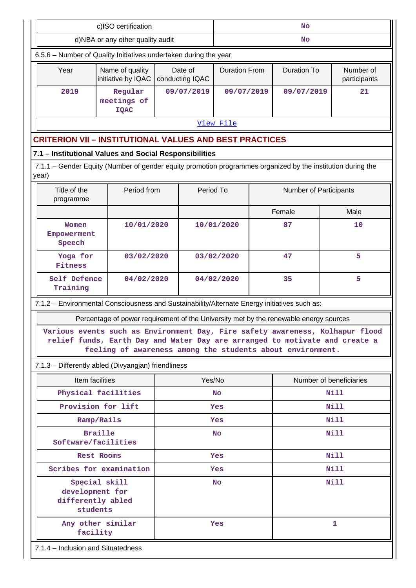| c)ISO certification                                                                                                  |                                                                                                                                           |           | <b>No</b>                  |                      |      |                        |                                                                               |
|----------------------------------------------------------------------------------------------------------------------|-------------------------------------------------------------------------------------------------------------------------------------------|-----------|----------------------------|----------------------|------|------------------------|-------------------------------------------------------------------------------|
|                                                                                                                      | d)NBA or any other quality audit                                                                                                          |           |                            | No                   |      |                        |                                                                               |
| 6.5.6 - Number of Quality Initiatives undertaken during the year                                                     |                                                                                                                                           |           |                            |                      |      |                        |                                                                               |
| Year                                                                                                                 | Name of quality<br>initiative by IQAC                                                                                                     |           | Date of<br>conducting IQAC | <b>Duration From</b> |      | <b>Duration To</b>     | Number of<br>participants                                                     |
| 2019                                                                                                                 | Regular<br>meetings of<br><b>IQAC</b>                                                                                                     |           | 09/07/2019                 | 09/07/2019           |      | 09/07/2019             | 21                                                                            |
|                                                                                                                      |                                                                                                                                           |           |                            | View File            |      |                        |                                                                               |
| <b>CRITERION VII - INSTITUTIONAL VALUES AND BEST PRACTICES</b>                                                       |                                                                                                                                           |           |                            |                      |      |                        |                                                                               |
| 7.1 - Institutional Values and Social Responsibilities                                                               |                                                                                                                                           |           |                            |                      |      |                        |                                                                               |
| 7.1.1 – Gender Equity (Number of gender equity promotion programmes organized by the institution during the<br>year) |                                                                                                                                           |           |                            |                      |      |                        |                                                                               |
| Title of the<br>programme                                                                                            | Period from                                                                                                                               |           | Period To                  |                      |      | Number of Participants |                                                                               |
|                                                                                                                      |                                                                                                                                           |           |                            |                      |      | Female                 | Male                                                                          |
| Women<br>Empowerment<br>Speech                                                                                       | 10/01/2020                                                                                                                                |           |                            | 10/01/2020           |      | 87                     | 10                                                                            |
| Yoga for<br>Fitness                                                                                                  | 03/02/2020                                                                                                                                |           |                            | 47<br>03/02/2020     |      |                        | 5                                                                             |
| Self Defence<br>Training                                                                                             | 04/02/2020                                                                                                                                |           |                            | 04/02/2020<br>35     |      |                        | 5                                                                             |
| 7.1.2 - Environmental Consciousness and Sustainability/Alternate Energy initiatives such as:                         |                                                                                                                                           |           |                            |                      |      |                        |                                                                               |
| Percentage of power requirement of the University met by the renewable energy sources                                |                                                                                                                                           |           |                            |                      |      |                        |                                                                               |
|                                                                                                                      | relief funds, Earth Day and Water Day are arranged to motivate and create a<br>feeling of awareness among the students about environment. |           |                            |                      |      |                        | Various events such as Environment Day, Fire safety awareness, Kolhapur flood |
|                                                                                                                      | 7.1.3 - Differently abled (Divyangjan) friendliness                                                                                       |           |                            |                      |      |                        |                                                                               |
|                                                                                                                      | Item facilities                                                                                                                           |           | Yes/No                     |                      |      |                        | Number of beneficiaries                                                       |
|                                                                                                                      | Physical facilities                                                                                                                       |           | <b>No</b>                  |                      | Nill |                        |                                                                               |
|                                                                                                                      | Provision for lift                                                                                                                        | Yes       |                            | <b>Nill</b>          |      |                        |                                                                               |
|                                                                                                                      | Ramp/Rails                                                                                                                                |           | Yes                        |                      | Nill |                        |                                                                               |
| <b>Braille</b><br>Software/facilities                                                                                |                                                                                                                                           | <b>No</b> |                            | Nill                 |      |                        |                                                                               |
| Rest Rooms                                                                                                           |                                                                                                                                           | Yes       |                            | Nill                 |      |                        |                                                                               |
| Scribes for examination                                                                                              |                                                                                                                                           | Yes       |                            |                      | Nill |                        |                                                                               |
|                                                                                                                      | Special skill<br>development for<br>differently abled<br>students                                                                         |           |                            | <b>No</b>            |      |                        | <b>Nill</b>                                                                   |
|                                                                                                                      | Any other similar<br>facility                                                                                                             |           |                            | Yes                  |      |                        | 1                                                                             |
| 7.1.4 - Inclusion and Situatedness                                                                                   |                                                                                                                                           |           |                            |                      |      |                        |                                                                               |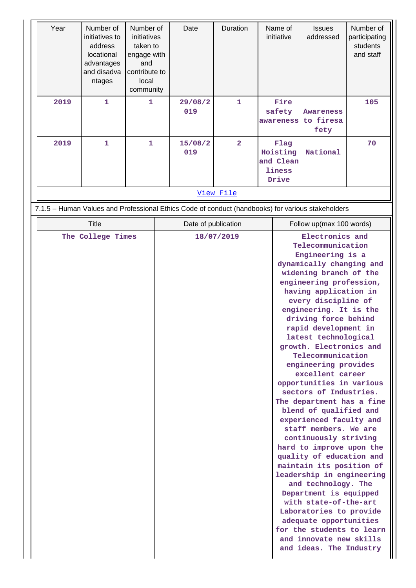| Year                                                                                              | Number of<br>initiatives to<br>address<br>locational<br>advantages<br>and disadva<br>ntages | Number of<br>initiatives<br>taken to<br>engage with<br>and<br>contribute to<br>local<br>community | Date                | Duration                | Name of<br>initiative                            | <b>Issues</b><br>addressed                                                                                                                                                                                                                                                                                                                                                                                                                                                                                                                                                                                                                                                                                                                                                                                                                                                                                           | Number of<br>participating<br>students<br>and staff |
|---------------------------------------------------------------------------------------------------|---------------------------------------------------------------------------------------------|---------------------------------------------------------------------------------------------------|---------------------|-------------------------|--------------------------------------------------|----------------------------------------------------------------------------------------------------------------------------------------------------------------------------------------------------------------------------------------------------------------------------------------------------------------------------------------------------------------------------------------------------------------------------------------------------------------------------------------------------------------------------------------------------------------------------------------------------------------------------------------------------------------------------------------------------------------------------------------------------------------------------------------------------------------------------------------------------------------------------------------------------------------------|-----------------------------------------------------|
| 2019                                                                                              | $\mathbf{1}$                                                                                | 1                                                                                                 | 29/08/2<br>019      | $\mathbf{1}$            | Fire<br>safety<br>awareness                      | <b>Awareness</b><br>to firesa<br>fety                                                                                                                                                                                                                                                                                                                                                                                                                                                                                                                                                                                                                                                                                                                                                                                                                                                                                | 105                                                 |
| 2019                                                                                              | 1                                                                                           | $\mathbf{1}$                                                                                      | 15/08/2<br>019      | $\overline{\mathbf{2}}$ | Flag<br>Hoisting<br>and Clean<br>liness<br>Drive | National                                                                                                                                                                                                                                                                                                                                                                                                                                                                                                                                                                                                                                                                                                                                                                                                                                                                                                             | 70                                                  |
|                                                                                                   |                                                                                             |                                                                                                   |                     | View File               |                                                  |                                                                                                                                                                                                                                                                                                                                                                                                                                                                                                                                                                                                                                                                                                                                                                                                                                                                                                                      |                                                     |
| 7.1.5 - Human Values and Professional Ethics Code of conduct (handbooks) for various stakeholders |                                                                                             |                                                                                                   |                     |                         |                                                  |                                                                                                                                                                                                                                                                                                                                                                                                                                                                                                                                                                                                                                                                                                                                                                                                                                                                                                                      |                                                     |
|                                                                                                   | <b>Title</b>                                                                                |                                                                                                   | Date of publication |                         |                                                  | Follow up(max 100 words)                                                                                                                                                                                                                                                                                                                                                                                                                                                                                                                                                                                                                                                                                                                                                                                                                                                                                             |                                                     |
|                                                                                                   | The College Times                                                                           |                                                                                                   |                     | 18/07/2019              |                                                  | Electronics and<br>Telecommunication<br>Engineering is a<br>dynamically changing and<br>widening branch of the<br>engineering profession,<br>having application in<br>every discipline of<br>engineering. It is the<br>driving force behind<br>rapid development in<br>latest technological<br>growth. Electronics and<br>Telecommunication<br>engineering provides<br>excellent career<br>opportunities in various<br>sectors of Industries.<br>The department has a fine<br>blend of qualified and<br>experienced faculty and<br>staff members. We are<br>continuously striving<br>hard to improve upon the<br>quality of education and<br>maintain its position of<br>leadership in engineering<br>and technology. The<br>Department is equipped<br>with state-of-the-art<br>Laboratories to provide<br>adequate opportunities<br>for the students to learn<br>and innovate new skills<br>and ideas. The Industry |                                                     |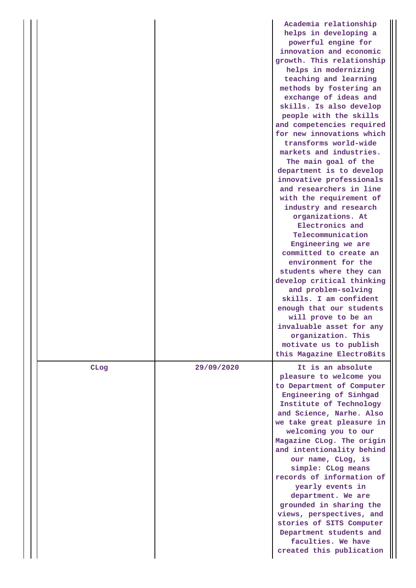|      |            | Academia relationship<br>helps in developing a<br>powerful engine for<br>innovation and economic<br>growth. This relationship<br>helps in modernizing<br>teaching and learning<br>methods by fostering an<br>exchange of ideas and<br>skills. Is also develop<br>people with the skills<br>and competencies required<br>for new innovations which<br>transforms world-wide<br>markets and industries.<br>The main goal of the<br>department is to develop<br>innovative professionals<br>and researchers in line<br>with the requirement of<br>industry and research<br>organizations. At<br>Electronics and<br>Telecommunication<br>Engineering we are<br>committed to create an<br>environment for the<br>students where they can<br>develop critical thinking<br>and problem-solving<br>skills. I am confident<br>enough that our students<br>will prove to be an<br>invaluable asset for any<br>organization. This<br>motivate us to publish |
|------|------------|--------------------------------------------------------------------------------------------------------------------------------------------------------------------------------------------------------------------------------------------------------------------------------------------------------------------------------------------------------------------------------------------------------------------------------------------------------------------------------------------------------------------------------------------------------------------------------------------------------------------------------------------------------------------------------------------------------------------------------------------------------------------------------------------------------------------------------------------------------------------------------------------------------------------------------------------------|
|      |            | this Magazine ElectroBits                                                                                                                                                                                                                                                                                                                                                                                                                                                                                                                                                                                                                                                                                                                                                                                                                                                                                                                        |
| CLog | 29/09/2020 | It is an absolute<br>pleasure to welcome you<br>to Department of Computer<br>Engineering of Sinhgad<br>Institute of Technology<br>and Science, Narhe. Also<br>we take great pleasure in<br>welcoming you to our<br>Magazine CLog. The origin<br>and intentionality behind<br>our name, CLog, is<br>simple: CLog means<br>records of information of<br>yearly events in<br>department. We are<br>grounded in sharing the<br>views, perspectives, and<br>stories of SITS Computer<br>Department students and<br>faculties. We have<br>created this publication                                                                                                                                                                                                                                                                                                                                                                                     |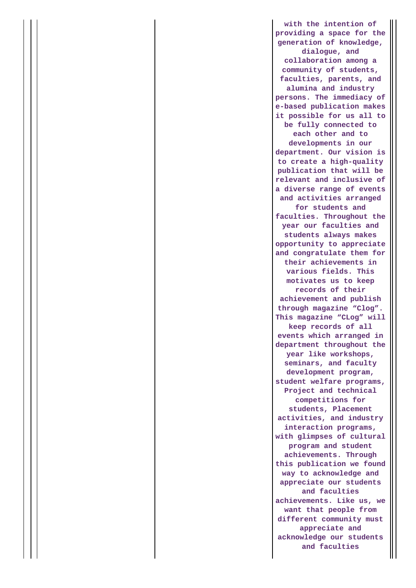**with the intention of providing a space for the generation of knowledge, dialogue, and collaboration among a community of students, faculties, parents, and alumina and industry persons. The immediacy of e-based publication makes it possible for us all to be fully connected to each other and to developments in our department. Our vision is to create a high-quality publication that will be relevant and inclusive of a diverse range of events and activities arranged for students and faculties. Throughout the year our faculties and students always makes opportunity to appreciate and congratulate them for their achievements in various fields. This motivates us to keep records of their achievement and publish through magazine "Clog". This magazine "CLog" will keep records of all events which arranged in department throughout the year like workshops, seminars, and faculty development program, student welfare programs, Project and technical competitions for students, Placement activities, and industry interaction programs, with glimpses of cultural program and student achievements. Through this publication we found way to acknowledge and appreciate our students and faculties achievements. Like us, we want that people from different community must appreciate and acknowledge our students and faculties**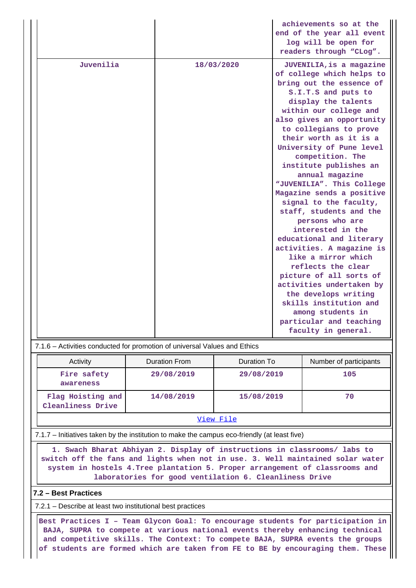|           |            | achievements so at the<br>end of the year all event<br>log will be open for<br>readers through "CLog".                                                                                                                                                                                                                                                                                                                                                                                                                                                                                                                                                                                                                                                                               |
|-----------|------------|--------------------------------------------------------------------------------------------------------------------------------------------------------------------------------------------------------------------------------------------------------------------------------------------------------------------------------------------------------------------------------------------------------------------------------------------------------------------------------------------------------------------------------------------------------------------------------------------------------------------------------------------------------------------------------------------------------------------------------------------------------------------------------------|
| Juvenilia | 18/03/2020 | JUVENILIA, is a magazine<br>of college which helps to<br>bring out the essence of<br>S.I.T.S and puts to<br>display the talents<br>within our college and<br>also gives an opportunity<br>to collegians to prove<br>their worth as it is a<br>University of Pune level<br>competition. The<br>institute publishes an<br>annual magazine<br>"JUVENILIA". This College<br>Magazine sends a positive<br>signal to the faculty,<br>staff, students and the<br>persons who are<br>interested in the<br>educational and literary<br>activities. A magazine is<br>like a mirror which<br>reflects the clear<br>picture of all sorts of<br>activities undertaken by<br>the develops writing<br>skills institution and<br>among students in<br>particular and teaching<br>faculty in general. |

#### 7.1.6 – Activities conducted for promotion of universal Values and Ethics

| Activity                               | <b>Duration From</b> | Duration To | Number of participants |  |  |
|----------------------------------------|----------------------|-------------|------------------------|--|--|
| Fire safety<br>awareness               | 29/08/2019           | 29/08/2019  | 105                    |  |  |
| Flag Hoisting and<br>Cleanliness Drive | 14/08/2019           | 15/08/2019  | 70                     |  |  |
| View File                              |                      |             |                        |  |  |

#### 7.1.7 – Initiatives taken by the institution to make the campus eco-friendly (at least five)

 **1. Swach Bharat Abhiyan 2. Display of instructions in classrooms/ labs to switch off the fans and lights when not in use. 3. Well maintained solar water system in hostels 4.Tree plantation 5. Proper arrangement of classrooms and laboratories for good ventilation 6. Cleanliness Drive**

#### **7.2 – Best Practices**

7.2.1 – Describe at least two institutional best practices

 **Best Practices I – Team Glycon Goal: To encourage students for participation in BAJA, SUPRA to compete at various national events thereby enhancing technical and competitive skills. The Context: To compete BAJA, SUPRA events the groups of students are formed which are taken from FE to BE by encouraging them. These**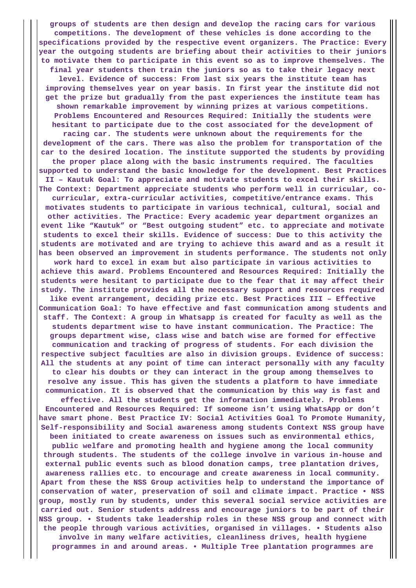**groups of students are then design and develop the racing cars for various competitions. The development of these vehicles is done according to the specifications provided by the respective event organizers. The Practice: Every year the outgoing students are briefing about their activities to their juniors to motivate them to participate in this event so as to improve themselves. The**

**final year students then train the juniors so as to take their legacy next level. Evidence of success: From last six years the institute team has improving themselves year on year basis. In first year the institute did not get the prize but gradually from the past experiences the institute team has shown remarkable improvement by winning prizes at various competitions. Problems Encountered and Resources Required: Initially the students were hesitant to participate due to the cost associated for the development of**

**racing car. The students were unknown about the requirements for the development of the cars. There was also the problem for transportation of the car to the desired location. The institute supported the students by providing the proper place along with the basic instruments required. The faculties supported to understand the basic knowledge for the development. Best Practices II – Kautuk Goal: To appreciate and motivate students to excel their skills. The Context: Department appreciate students who perform well in curricular, co-**

**curricular, extra-curricular activities, competitive/entrance exams. This motivates students to participate in various technical, cultural, social and other activities. The Practice: Every academic year department organizes an event like "Kautuk" or "Best outgoing student" etc. to appreciate and motivate students to excel their skills. Evidence of success: Due to this activity the students are motivated and are trying to achieve this award and as a result it has been observed an improvement in students performance. The students not only**

**work hard to excel in exam but also participate in various activities to achieve this award. Problems Encountered and Resources Required: Initially the students were hesitant to participate due to the fear that it may affect their study. The institute provides all the necessary support and resources required**

**like event arrangement, deciding prize etc. Best Practices III – Effective Communication Goal: To have effective and fast communication among students and staff. The Context: A group in Whatsapp is created for faculty as well as the students department wise to have instant communication. The Practice: The groups department wise, class wise and batch wise are formed for effective communication and tracking of progress of students. For each division the respective subject faculties are also in division groups. Evidence of success: All the students at any point of time can interact personally with any faculty**

**to clear his doubts or they can interact in the group among themselves to resolve any issue. This has given the students a platform to have immediate communication. It is observed that the communication by this way is fast and**

**effective. All the students get the information immediately. Problems Encountered and Resources Required: If someone isn't using WhatsApp or don't have smart phone. Best Practice IV: Social Activities Goal To Promote Humanity, Self-responsibility and Social awareness among students Context NSS group have**

**been initiated to create awareness on issues such as environmental ethics, public welfare and promoting health and hygiene among the local community through students. The students of the college involve in various in-house and external public events such as blood donation camps, tree plantation drives, awareness rallies etc. to encourage and create awareness in local community. Apart from these the NSS Group activities help to understand the importance of conservation of water, preservation of soil and climate impact. Practice • NSS group, mostly run by students, under this several social service activities are carried out. Senior students address and encourage juniors to be part of their NSS group. • Students take leadership roles in these NSS group and connect with the people through various activities, organised in villages. • Students also involve in many welfare activities, cleanliness drives, health hygiene**

**programmes in and around areas. • Multiple Tree plantation programmes are**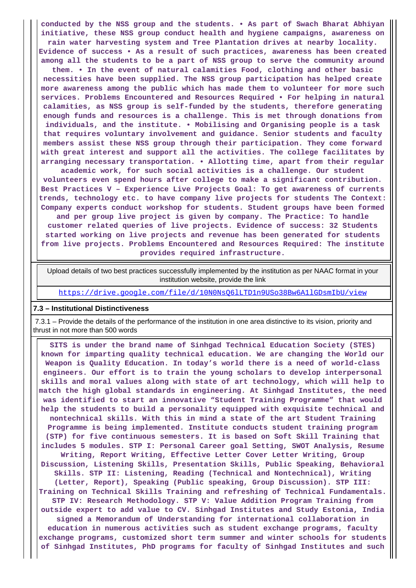**conducted by the NSS group and the students. • As part of Swach Bharat Abhiyan initiative, these NSS group conduct health and hygiene campaigns, awareness on rain water harvesting system and Tree Plantation drives at nearby locality. Evidence of success • As a result of such practices, awareness has been created among all the students to be a part of NSS group to serve the community around**

**them. • In the event of natural calamities Food, clothing and other basic necessities have been supplied. The NSS group participation has helped create more awareness among the public which has made them to volunteer for more such services. Problems Encountered and Resources Required • For helping in natural calamities, as NSS group is self-funded by the students, therefore generating enough funds and resources is a challenge. This is met through donations from individuals, and the institute. • Mobilising and Organising people is a task that requires voluntary involvement and guidance. Senior students and faculty members assist these NSS group through their participation. They come forward with great interest and support all the activities. The college facilitates by arranging necessary transportation. • Allotting time, apart from their regular**

**academic work, for such social activities is a challenge. Our student volunteers even spend hours after college to make a significant contribution. Best Practices V – Experience Live Projects Goal: To get awareness of currents trends, technology etc. to have company live projects for students The Context: Company experts conduct workshop for students. Student groups have been formed and per group live project is given by company. The Practice: To handle customer related queries of live projects. Evidence of success: 32 Students started working on live projects and revenue has been generated for students from live projects. Problems Encountered and Resources Required: The institute provides required infrastructure.**

 Upload details of two best practices successfully implemented by the institution as per NAAC format in your institution website, provide the link

<https://drive.google.com/file/d/10N0NsQ6lLTD1n9USo38Bw6A1lGDsmIbU/view>

#### **7.3 – Institutional Distinctiveness**

 7.3.1 – Provide the details of the performance of the institution in one area distinctive to its vision, priority and thrust in not more than 500 words

 **SITS is under the brand name of Sinhgad Technical Education Society (STES) known for imparting quality technical education. We are changing the World our Weapon is Quality Education. In today's world there is a need of world-class engineers. Our effort is to train the young scholars to develop interpersonal skills and moral values along with state of art technology, which will help to match the high global standards in engineering. At Sinhgad Institutes, the need was identified to start an innovative "Student Training Programme" that would help the students to build a personality equipped with exquisite technical and nontechnical skills. With this in mind a state of the art Student Training Programme is being implemented. Institute conducts student training program (STP) for five continuous semesters. It is based on Soft Skill Training that includes 5 modules. STP I: Personal Career goal Setting, SWOT Analysis, Resume Writing, Report Writing, Effective Letter Cover Letter Writing, Group Discussion, Listening Skills, Presentation Skills, Public Speaking, Behavioral Skills. STP II: Listening, Reading (Technical and Nontechnical), Writing (Letter, Report), Speaking (Public speaking, Group Discussion). STP III: Training on Technical Skills Training and refreshing of Technical Fundamentals. STP IV: Research Methodology. STP V: Value Addition Program Training from outside expert to add value to CV. Sinhgad Institutes and Study Estonia, India signed a Memorandum of Understanding for international collaboration in education in numerous activities such as student exchange programs, faculty exchange programs, customized short term summer and winter schools for students of Sinhgad Institutes, PhD programs for faculty of Sinhgad Institutes and such**